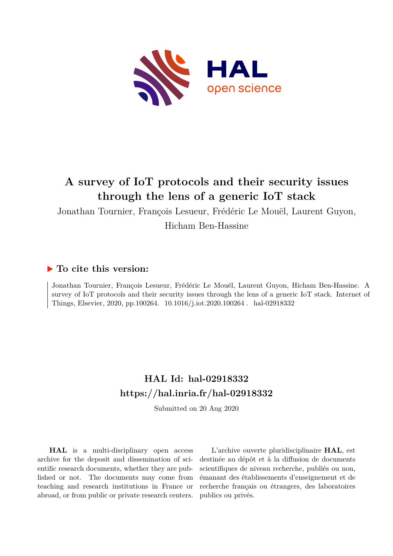

# **A survey of IoT protocols and their security issues through the lens of a generic IoT stack**

Jonathan Tournier, François Lesueur, Frédéric Le Mouël, Laurent Guyon,

Hicham Ben-Hassine

## **To cite this version:**

Jonathan Tournier, François Lesueur, Frédéric Le Mouël, Laurent Guyon, Hicham Ben-Hassine. A survey of IoT protocols and their security issues through the lens of a generic IoT stack. Internet of Things, Elsevier, 2020, pp.100264. 10.1016/j.iot.2020.100264 . hal-02918332

# **HAL Id: hal-02918332 <https://hal.inria.fr/hal-02918332>**

Submitted on 20 Aug 2020

**HAL** is a multi-disciplinary open access archive for the deposit and dissemination of scientific research documents, whether they are published or not. The documents may come from teaching and research institutions in France or abroad, or from public or private research centers.

L'archive ouverte pluridisciplinaire **HAL**, est destinée au dépôt et à la diffusion de documents scientifiques de niveau recherche, publiés ou non, émanant des établissements d'enseignement et de recherche français ou étrangers, des laboratoires publics ou privés.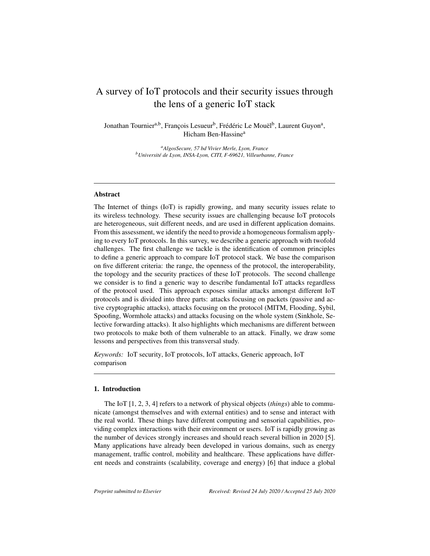## A survey of IoT protocols and their security issues through the lens of a generic IoT stack

Jonathan Tournier<sup>a,b</sup>, François Lesueur<sup>b</sup>, Frédéric Le Mouël<sup>b</sup>, Laurent Guyon<sup>a</sup>, Hicham Ben-Hassine<sup>a</sup>

> *<sup>a</sup>AlgosSecure, 57 bd Vivier Merle, Lyon, France <sup>b</sup>Université de Lyon, INSA-Lyon, CITI, F-69621, Villeurbanne, France*

## Abstract

The Internet of things (IoT) is rapidly growing, and many security issues relate to its wireless technology. These security issues are challenging because IoT protocols are heterogeneous, suit different needs, and are used in different application domains. From this assessment, we identify the need to provide a homogeneous formalism applying to every IoT protocols. In this survey, we describe a generic approach with twofold challenges. The first challenge we tackle is the identification of common principles to define a generic approach to compare IoT protocol stack. We base the comparison on five different criteria: the range, the openness of the protocol, the interoperability, the topology and the security practices of these IoT protocols. The second challenge we consider is to find a generic way to describe fundamental IoT attacks regardless of the protocol used. This approach exposes similar attacks amongst different IoT protocols and is divided into three parts: attacks focusing on packets (passive and active cryptographic attacks), attacks focusing on the protocol (MITM, Flooding, Sybil, Spoofing, Wormhole attacks) and attacks focusing on the whole system (Sinkhole, Selective forwarding attacks). It also highlights which mechanisms are different between two protocols to make both of them vulnerable to an attack. Finally, we draw some lessons and perspectives from this transversal study.

*Keywords:* IoT security, IoT protocols, IoT attacks, Generic approach, IoT comparison

## 1. Introduction

The IoT [1, 2, 3, 4] refers to a network of physical objects (*things*) able to communicate (amongst themselves and with external entities) and to sense and interact with the real world. These things have different computing and sensorial capabilities, providing complex interactions with their environment or users. IoT is rapidly growing as the number of devices strongly increases and should reach several billion in 2020 [5]. Many applications have already been developed in various domains, such as energy management, traffic control, mobility and healthcare. These applications have different needs and constraints (scalability, coverage and energy) [6] that induce a global

*Preprint submitted to Elsevier Received: Revised 24 July 2020 / Accepted 25 July 2020*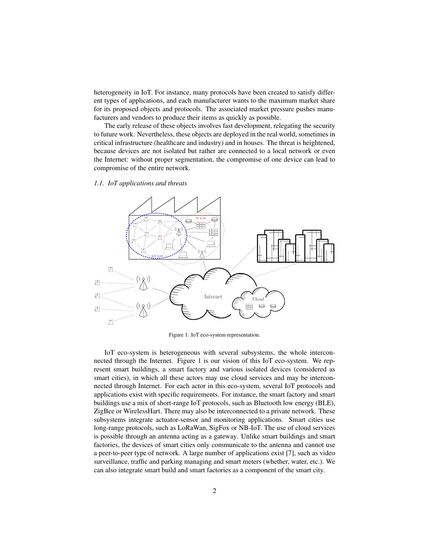heterogeneity in IoT. For instance, many protocols have been created to satisfy different types of applications, and each manufacturer wants to the maximum market share for its proposed objects and protocols. The associated market pressure pushes manufacturers and vendors to produce their items as quickly as possible.

The early release of these objects involves fast development, relegating the security to future work. Nevertheless, these objects are deployed in the real world, sometimes in critical infrastructure (healthcare and industry) and in houses. The threat is heightened, because devices are not isolated but rather are connected to a local network or even the Internet: without proper segmentation, the compromise of one device can lead to compromise of the entire network.

## *1.1. IoT applications and threats*



Figure 1: IoT eco-system representation.

IoT eco-system is heterogeneous with several subsystems, the whole interconnected through the Internet. Figure 1 is our vision of this IoT eco-system. We represent smart buildings, a smart factory and various isolated devices (considered as smart cities), in which all these actors may use cloud services and may be interconnected through Internet. For each actor in this eco-system, several IoT protocols and applications exist with specific requirements. For instance, the smart factory and smart buildings use a mix of short-range IoT protocols, such as Bluetooth low energy (BLE), ZigBee or WirelessHart. There may also be interconnected to a private network. These subsystems integrate actuator-sensor and monitoring applications. Smart cities use long-range protocols, such as LoRaWan, SigFox or NB-IoT. The use of cloud services is possible through an antenna acting as a gateway. Unlike smart buildings and smart factories, the devices of smart cities only communicate to the antenna and cannot use a peer-to-peer type of network. A large number of applications exist [7], such as video surveillance, traffic and parking managing and smart meters (whether, water, etc.). We can also integrate smart build and smart factories as a component of the smart city.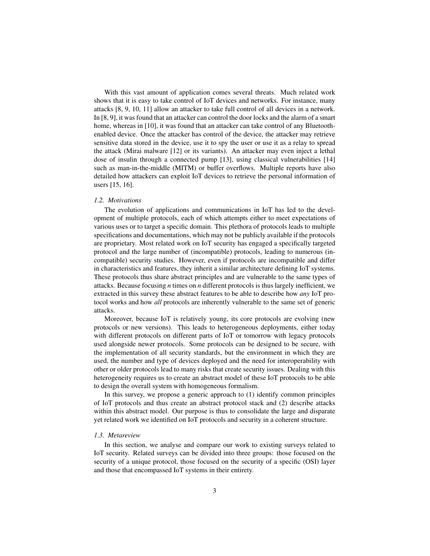With this vast amount of application comes several threats. Much related work shows that it is easy to take control of IoT devices and networks. For instance, many attacks [8, 9, 10, 11] allow an attacker to take full control of all devices in a network. In [8, 9], it was found that an attacker can control the door locks and the alarm of a smart home, whereas in [10], it was found that an attacker can take control of any Bluetoothenabled device. Once the attacker has control of the device, the attacker may retrieve sensitive data stored in the device, use it to spy the user or use it as a relay to spread the attack (Mirai malware [12] or its variants). An attacker may even inject a lethal dose of insulin through a connected pump [13], using classical vulnerabilities [14] such as man-in-the-middle (MITM) or buffer overflows. Multiple reports have also detailed how attackers can exploit IoT devices to retrieve the personal information of users [15, 16].

## *1.2. Motivations*

The evolution of applications and communications in IoT has led to the development of multiple protocols, each of which attempts either to meet expectations of various uses or to target a specific domain. This plethora of protocols leads to multiple specifications and documentations, which may not be publicly available if the protocols are proprietary. Most related work on IoT security has engaged a specifically targeted protocol and the large number of (incompatible) protocols, leading to numerous (incompatible) security studies. However, even if protocols are incompatible and differ in characteristics and features, they inherit a similar architecture defining IoT systems. These protocols thus share abstract principles and are vulnerable to the same types of attacks. Because focusing *n* times on *n* different protocols is thus largely inefficient, we extracted in this survey these abstract features to be able to describe how *any* IoT protocol works and how *all* protocols are inherently vulnerable to the same set of generic attacks.

Moreover, because IoT is relatively young, its core protocols are evolving (new protocols or new versions). This leads to heterogeneous deployments, either today with different protocols on different parts of IoT or tomorrow with legacy protocols used alongside newer protocols. Some protocols can be designed to be secure, with the implementation of all security standards, but the environment in which they are used, the number and type of devices deployed and the need for interoperability with other or older protocols lead to many risks that create security issues. Dealing with this heterogeneity requires us to create an abstract model of these IoT protocols to be able to design the overall system with homogeneous formalism.

In this survey, we propose a generic approach to (1) identify common principles of IoT protocols and thus create an abstract protocol stack and (2) describe attacks within this abstract model. Our purpose is thus to consolidate the large and disparate yet related work we identified on IoT protocols and security in a coherent structure.

## *1.3. Metareview*

In this section, we analyse and compare our work to existing surveys related to IoT security. Related surveys can be divided into three groups: those focused on the security of a unique protocol, those focused on the security of a specific (OSI) layer and those that encompassed IoT systems in their entirety.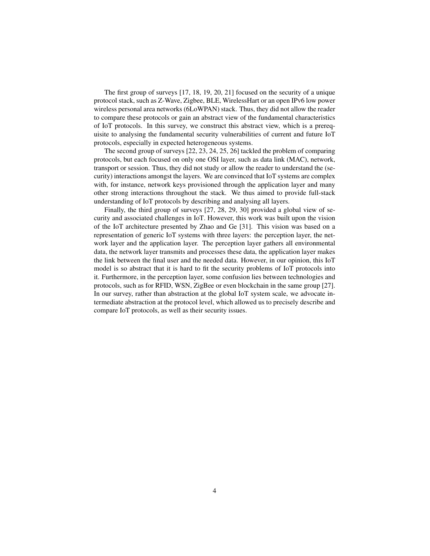The first group of surveys [17, 18, 19, 20, 21] focused on the security of a unique protocol stack, such as Z-Wave, Zigbee, BLE, WirelessHart or an open IPv6 low power wireless personal area networks (6LoWPAN) stack. Thus, they did not allow the reader to compare these protocols or gain an abstract view of the fundamental characteristics of IoT protocols. In this survey, we construct this abstract view, which is a prerequisite to analysing the fundamental security vulnerabilities of current and future IoT protocols, especially in expected heterogeneous systems.

The second group of surveys [22, 23, 24, 25, 26] tackled the problem of comparing protocols, but each focused on only one OSI layer, such as data link (MAC), network, transport or session. Thus, they did not study or allow the reader to understand the (security) interactions amongst the layers. We are convinced that IoT systems are complex with, for instance, network keys provisioned through the application layer and many other strong interactions throughout the stack. We thus aimed to provide full-stack understanding of IoT protocols by describing and analysing all layers.

Finally, the third group of surveys [27, 28, 29, 30] provided a global view of security and associated challenges in IoT. However, this work was built upon the vision of the IoT architecture presented by Zhao and Ge [31]. This vision was based on a representation of generic IoT systems with three layers: the perception layer, the network layer and the application layer. The perception layer gathers all environmental data, the network layer transmits and processes these data, the application layer makes the link between the final user and the needed data. However, in our opinion, this IoT model is so abstract that it is hard to fit the security problems of IoT protocols into it. Furthermore, in the perception layer, some confusion lies between technologies and protocols, such as for RFID, WSN, ZigBee or even blockchain in the same group [27]. In our survey, rather than abstraction at the global IoT system scale, we advocate intermediate abstraction at the protocol level, which allowed us to precisely describe and compare IoT protocols, as well as their security issues.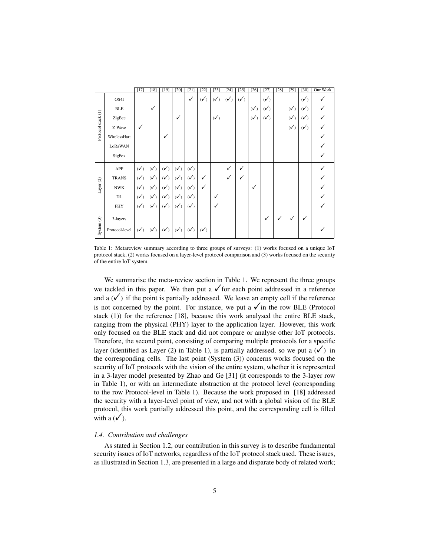|                |                | $[17]$         | $[18]$         | $[19]$         | $[20]$         | $[21]$         | $[22]$         | $[23]$         | $[24]$         | $[25]$         | $[26]$         | $[27]$         | $[28]$       | $[29]$         | [30]           | Our Work |
|----------------|----------------|----------------|----------------|----------------|----------------|----------------|----------------|----------------|----------------|----------------|----------------|----------------|--------------|----------------|----------------|----------|
|                | OS4I           |                |                |                |                | $\checkmark$   | $(\checkmark)$ | $(\checkmark)$ | $(\checkmark)$ | $(\checkmark)$ |                | $(\checkmark)$ |              |                | $(\checkmark)$ |          |
| $\ominus$      | <b>BLE</b>     |                | $\checkmark$   |                |                |                |                |                |                |                | $(\checkmark)$ | $(\checkmark)$ |              | $(\checkmark)$ | $(\checkmark)$ |          |
|                | ZigBee         |                |                |                | $\checkmark$   |                |                | $(\checkmark)$ |                |                | $(\checkmark)$ | $(\checkmark)$ |              | $(\checkmark)$ | $(\checkmark)$ |          |
| Protocol stack | Z-Wave         | $\checkmark$   |                |                |                |                |                |                |                |                |                |                |              | $(\checkmark)$ | $(\checkmark)$ |          |
|                | WirelessHart   |                |                | ✓              |                |                |                |                |                |                |                |                |              |                |                |          |
|                | LoRaWAN        |                |                |                |                |                |                |                |                |                |                |                |              |                |                |          |
|                | SigFox         |                |                |                |                |                |                |                |                |                |                |                |              |                |                |          |
|                | APP            | $(\checkmark)$ | $(\checkmark)$ | $(\checkmark)$ | $(\checkmark)$ | $(\checkmark)$ |                |                | $\checkmark$   | ✓              |                |                |              |                |                |          |
|                | <b>TRANS</b>   | $(\checkmark)$ | $(\checkmark)$ | $(\checkmark)$ | $(\checkmark)$ | $(\checkmark)$ | $\checkmark$   |                | ✓              | ✓              |                |                |              |                |                |          |
| Layer (2)      | <b>NWK</b>     | $(\checkmark)$ | $(\checkmark)$ | $(\checkmark)$ | $(\checkmark)$ | $(\checkmark)$ | ✓              |                |                |                | ✓              |                |              |                |                |          |
|                | $\rm DL$       | $(\checkmark)$ | $(\checkmark)$ | $(\checkmark)$ | $(\checkmark)$ | $(\checkmark)$ |                | √              |                |                |                |                |              |                |                |          |
|                | PHY            | $(\checkmark)$ | $(\checkmark)$ | $(\checkmark)$ | $(\checkmark)$ | $(\checkmark)$ |                | ✓              |                |                |                |                |              |                |                |          |
|                | 3-layers       |                |                |                |                |                |                |                |                |                |                | $\checkmark$   | $\checkmark$ | $\checkmark$   | $\checkmark$   |          |
| System (3)     | Protocol-level | $(\checkmark)$ | $(\checkmark)$ | $(\checkmark)$ | $(\checkmark)$ | $(\checkmark)$ | $(\checkmark)$ |                |                |                |                |                |              |                |                |          |

Table 1: Metareview summary according to three groups of surveys: (1) works focused on a unique IoT protocol stack, (2) works focused on a layer-level protocol comparison and (3) works focused on the security of the entire IoT system.

We summarise the meta-review section in Table 1. We represent the three groups we tackled in this paper. We then put a  $\checkmark$  for each point addressed in a reference and a  $(\checkmark)$  if the point is partially addressed. We leave an empty cell if the reference is not concerned by the point. For instance, we put a  $\checkmark$  in the row BLE (Protocol stack (1)) for the reference [18], because this work analysed the entire BLE stack, ranging from the physical (PHY) layer to the application layer. However, this work only focused on the BLE stack and did not compare or analyse other IoT protocols. Therefore, the second point, consisting of comparing multiple protocols for a specific layer (identified as Layer (2) in Table 1), is partially addressed, so we put a  $(\checkmark)$  in the corresponding cells. The last point (System (3)) concerns works focused on the security of IoT protocols with the vision of the entire system, whether it is represented in a 3-layer model presented by Zhao and Ge [31] (it corresponds to the 3-layer row in Table 1), or with an intermediate abstraction at the protocol level (corresponding to the row Protocol-level in Table 1). Because the work proposed in [18] addressed the security with a layer-level point of view, and not with a global vision of the BLE protocol, this work partially addressed this point, and the corresponding cell is filled with a  $(\checkmark)$ .

## *1.4. Contribution and challenges*

As stated in Section 1.2, our contribution in this survey is to describe fundamental security issues of IoT networks, regardless of the IoT protocol stack used. These issues, as illustrated in Section 1.3, are presented in a large and disparate body of related work;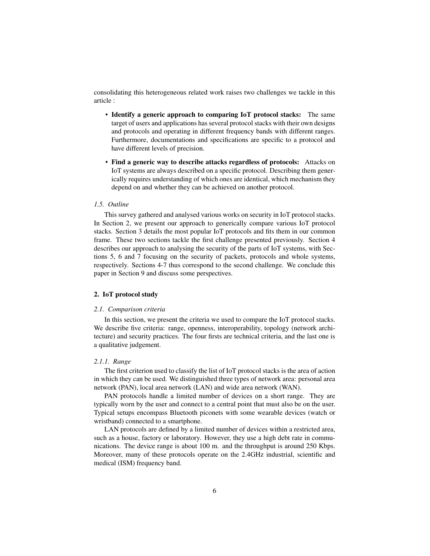consolidating this heterogeneous related work raises two challenges we tackle in this article :

- Identify a generic approach to comparing IoT protocol stacks: The same target of users and applications has several protocol stacks with their own designs and protocols and operating in different frequency bands with different ranges. Furthermore, documentations and specifications are specific to a protocol and have different levels of precision.
- Find a generic way to describe attacks regardless of protocols: Attacks on IoT systems are always described on a specific protocol. Describing them generically requires understanding of which ones are identical, which mechanism they depend on and whether they can be achieved on another protocol.

## *1.5. Outline*

This survey gathered and analysed various works on security in IoT protocol stacks. In Section 2, we present our approach to generically compare various IoT protocol stacks. Section 3 details the most popular IoT protocols and fits them in our common frame. These two sections tackle the first challenge presented previously. Section 4 describes our approach to analysing the security of the parts of IoT systems, with Sections 5, 6 and 7 focusing on the security of packets, protocols and whole systems, respectively. Sections 4-7 thus correspond to the second challenge. We conclude this paper in Section 9 and discuss some perspectives.

## 2. IoT protocol study

## *2.1. Comparison criteria*

In this section, we present the criteria we used to compare the IoT protocol stacks. We describe five criteria: range, openness, interoperability, topology (network architecture) and security practices. The four firsts are technical criteria, and the last one is a qualitative judgement.

## *2.1.1. Range*

The first criterion used to classify the list of IoT protocol stacks is the area of action in which they can be used. We distinguished three types of network area: personal area network (PAN), local area network (LAN) and wide area network (WAN).

PAN protocols handle a limited number of devices on a short range. They are typically worn by the user and connect to a central point that must also be on the user. Typical setups encompass Bluetooth piconets with some wearable devices (watch or wristband) connected to a smartphone.

LAN protocols are defined by a limited number of devices within a restricted area, such as a house, factory or laboratory. However, they use a high debt rate in communications. The device range is about 100 m. and the throughput is around 250 Kbps. Moreover, many of these protocols operate on the 2.4GHz industrial, scientific and medical (ISM) frequency band.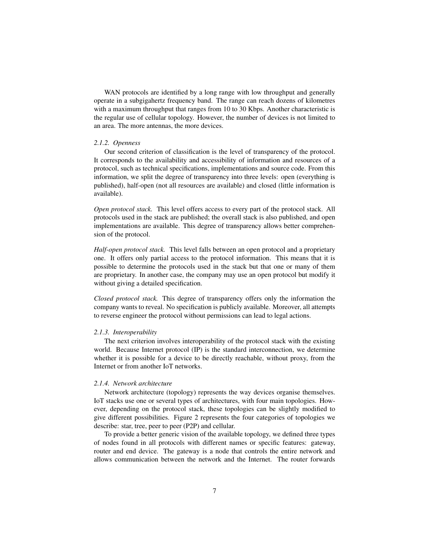WAN protocols are identified by a long range with low throughput and generally operate in a subgigahertz frequency band. The range can reach dozens of kilometres with a maximum throughput that ranges from 10 to 30 Kbps. Another characteristic is the regular use of cellular topology. However, the number of devices is not limited to an area. The more antennas, the more devices.

## *2.1.2. Openness*

Our second criterion of classification is the level of transparency of the protocol. It corresponds to the availability and accessibility of information and resources of a protocol, such as technical specifications, implementations and source code. From this information, we split the degree of transparency into three levels: open (everything is published), half-open (not all resources are available) and closed (little information is available).

*Open protocol stack.* This level offers access to every part of the protocol stack. All protocols used in the stack are published; the overall stack is also published, and open implementations are available. This degree of transparency allows better comprehension of the protocol.

*Half-open protocol stack.* This level falls between an open protocol and a proprietary one. It offers only partial access to the protocol information. This means that it is possible to determine the protocols used in the stack but that one or many of them are proprietary. In another case, the company may use an open protocol but modify it without giving a detailed specification.

*Closed protocol stack.* This degree of transparency offers only the information the company wants to reveal. No specification is publicly available. Moreover, all attempts to reverse engineer the protocol without permissions can lead to legal actions.

## *2.1.3. Interoperability*

The next criterion involves interoperability of the protocol stack with the existing world. Because Internet protocol (IP) is the standard interconnection, we determine whether it is possible for a device to be directly reachable, without proxy, from the Internet or from another IoT networks.

## *2.1.4. Network architecture*

Network architecture (topology) represents the way devices organise themselves. IoT stacks use one or several types of architectures, with four main topologies. However, depending on the protocol stack, these topologies can be slightly modified to give different possibilities. Figure 2 represents the four categories of topologies we describe: star, tree, peer to peer (P2P) and cellular.

To provide a better generic vision of the available topology, we defined three types of nodes found in all protocols with different names or specific features: gateway, router and end device. The gateway is a node that controls the entire network and allows communication between the network and the Internet. The router forwards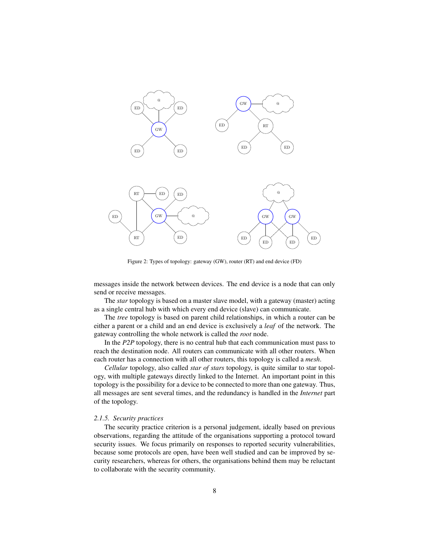

Figure 2: Types of topology: gateway (GW), router (RT) and end device (FD)

messages inside the network between devices. The end device is a node that can only send or receive messages.

The *star* topology is based on a master slave model, with a gateway (master) acting as a single central hub with which every end device (slave) can communicate.

The *tree* topology is based on parent child relationships, in which a router can be either a parent or a child and an end device is exclusively a *leaf* of the network. The gateway controlling the whole network is called the *root* node.

In the *P2P* topology, there is no central hub that each communication must pass to reach the destination node. All routers can communicate with all other routers. When each router has a connection with all other routers, this topology is called a *mesh*.

*Cellular* topology, also called *star of stars* topology, is quite similar to star topology, with multiple gateways directly linked to the Internet. An important point in this topology is the possibility for a device to be connected to more than one gateway. Thus, all messages are sent several times, and the redundancy is handled in the *Internet* part of the topology.

## *2.1.5. Security practices*

The security practice criterion is a personal judgement, ideally based on previous observations, regarding the attitude of the organisations supporting a protocol toward security issues. We focus primarily on responses to reported security vulnerabilities, because some protocols are open, have been well studied and can be improved by security researchers, whereas for others, the organisations behind them may be reluctant to collaborate with the security community.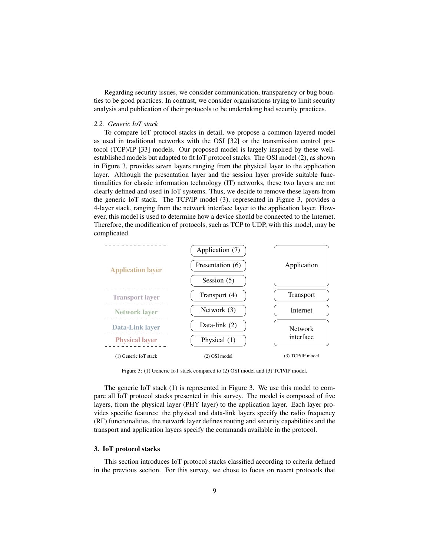Regarding security issues, we consider communication, transparency or bug bounties to be good practices. In contrast, we consider organisations trying to limit security analysis and publication of their protocols to be undertaking bad security practices.

## *2.2. Generic IoT stack*

To compare IoT protocol stacks in detail, we propose a common layered model as used in traditional networks with the OSI [32] or the transmission control protocol (TCP)/IP [33] models. Our proposed model is largely inspired by these wellestablished models but adapted to fit IoT protocol stacks. The OSI model (2), as shown in Figure 3, provides seven layers ranging from the physical layer to the application layer. Although the presentation layer and the session layer provide suitable functionalities for classic information technology (IT) networks, these two layers are not clearly defined and used in IoT systems. Thus, we decide to remove these layers from the generic IoT stack. The TCP/IP model (3), represented in Figure 3, provides a 4-layer stack, ranging from the network interface layer to the application layer. However, this model is used to determine how a device should be connected to the Internet. Therefore, the modification of protocols, such as TCP to UDP, with this model, may be complicated.



Figure 3: (1) Generic IoT stack compared to (2) OSI model and (3) TCP/IP model.

The generic IoT stack (1) is represented in Figure 3. We use this model to compare all IoT protocol stacks presented in this survey. The model is composed of five layers, from the physical layer (PHY layer) to the application layer. Each layer provides specific features: the physical and data-link layers specify the radio frequency (RF) functionalities, the network layer defines routing and security capabilities and the transport and application layers specify the commands available in the protocol.

## 3. IoT protocol stacks

This section introduces IoT protocol stacks classified according to criteria defined in the previous section. For this survey, we chose to focus on recent protocols that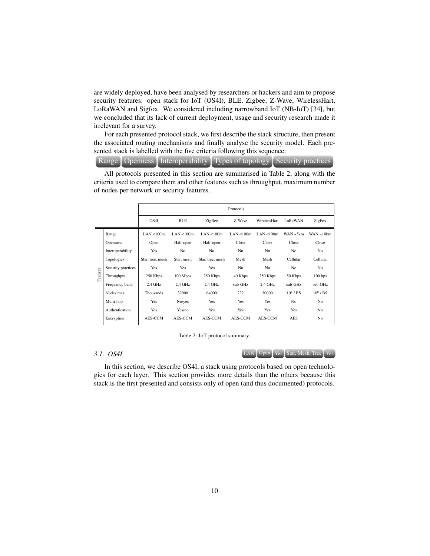are widely deployed, have been analysed by researchers or hackers and aim to propose security features: open stack for IoT (OS4I), BLE, Zigbee, Z-Wave, WirelessHart, LoRaWAN and Sigfox. We considered including narrowband IoT (NB-IoT) [34], but we concluded that its lack of current deployment, usage and security research made it irrelevant for a survey.

For each presented protocol stack, we first describe the stack structure, then present the associated routing mechanisms and finally analyse the security model. Each presented stack is labelled with the five criteria following this sequence:

Range | Openness | Interoperability | Types of topology | Security practices

All protocols presented in this section are summarised in Table 2, along with the criteria used to compare them and other features such as throughput, maximum number of nodes per network or security features.

|          |                         | Protocols         |                |                  |                |                |                |                 |  |  |  |
|----------|-------------------------|-------------------|----------------|------------------|----------------|----------------|----------------|-----------------|--|--|--|
|          |                         | OS <sub>4</sub> I | <b>BLE</b>     | ZigBee           | Z-Wave         | WirelessHart   | LoRaWAN        | SigFox          |  |  |  |
|          | Range                   | LAN < 100m        | LAN < 100m     | LAN < 100m       | LAN < 100m     | LAN < 100m     | $WAN - 5km$    | $WAN \sim 10km$ |  |  |  |
|          | <b>Openness</b><br>Open |                   | Half-open      | Half-open        | Close          | Close          | Close          | Close           |  |  |  |
|          | Yes<br>Interoperability |                   | N <sub>o</sub> | N <sub>0</sub>   | N <sub>o</sub> | N <sub>o</sub> | No             | N <sub>o</sub>  |  |  |  |
|          | Topologies              | Star, tree, mesh  | Star, mesh     | Star, tree, mesh | Mesh           | Mesh           | Cellular       | Cellular        |  |  |  |
|          | Security practices      | Yes               | Yes            | Yes              | No             | No             | N <sub>o</sub> | N <sub>0</sub>  |  |  |  |
| Features | Throughput              | 250 Kbps          | 100 Mbps       | 250 Kbps         | 40 Kbps        | 250 Kbps       | 50 Kbps        | 100 bps         |  |  |  |
|          | Frequency band          | $2.4$ GHz         | $2.4$ GHz      | $2.4$ GHz        | sub-GHz        | $2.4$ GHz      | sub-GHz        | sub-GHz         |  |  |  |
|          | Nodes max               | Thousands         | 32000          | 64000            | 232            | 30000          | $10^4$ / BS    | $10^6$ / BS     |  |  |  |
|          | Multi-hop               | Yes               | No/yes         | Yes              | Yes            | Yes            | No             | N <sub>0</sub>  |  |  |  |
|          | Authentication          | Yes               | Yes/no         | Yes              | Yes            | Yes            | Yes            | N <sub>o</sub>  |  |  |  |
|          | Encryption              | AES-CCM           | AES-CCM        | AES-CCM          | AES-CCM        | AES-CCM        | <b>AES</b>     | N <sub>o</sub>  |  |  |  |

Table 2: IoT protocol summary.

**3.1. OS4I** LAN Open Yes Star, Mesh, Tree Yes

In this section, we describe OS4I, a stack using protocols based on open technologies for each layer. This section provides more details than the others because this stack is the first presented and consists only of open (and thus documented) protocols.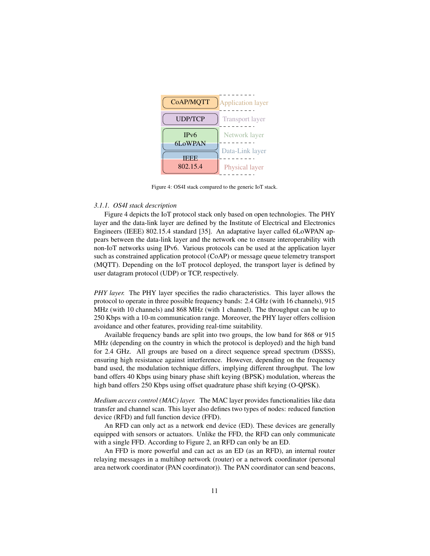

Figure 4: OS4I stack compared to the generic IoT stack.

## *3.1.1. OS4I stack description*

Figure 4 depicts the IoT protocol stack only based on open technologies. The PHY layer and the data-link layer are defined by the Institute of Electrical and Electronics Engineers (IEEE) 802.15.4 standard [35]. An adaptative layer called 6LoWPAN appears between the data-link layer and the network one to ensure interoperability with non-IoT networks using IPv6. Various protocols can be used at the application layer such as constrained application protocol (CoAP) or message queue telemetry transport (MQTT). Depending on the IoT protocol deployed, the transport layer is defined by user datagram protocol (UDP) or TCP, respectively.

*PHY layer.* The PHY layer specifies the radio characteristics. This layer allows the protocol to operate in three possible frequency bands: 2.4 GHz (with 16 channels), 915 MHz (with 10 channels) and 868 MHz (with 1 channel). The throughput can be up to 250 Kbps with a 10-m communication range. Moreover, the PHY layer offers collision avoidance and other features, providing real-time suitability.

Available frequency bands are split into two groups, the low band for 868 or 915 MHz (depending on the country in which the protocol is deployed) and the high band for 2.4 GHz. All groups are based on a direct sequence spread spectrum (DSSS), ensuring high resistance against interference. However, depending on the frequency band used, the modulation technique differs, implying different throughput. The low band offers 40 Kbps using binary phase shift keying (BPSK) modulation, whereas the high band offers 250 Kbps using offset quadrature phase shift keying (O-QPSK).

*Medium access control (MAC) layer.* The MAC layer provides functionalities like data transfer and channel scan. This layer also defines two types of nodes: reduced function device (RFD) and full function device (FFD).

An RFD can only act as a network end device (ED). These devices are generally equipped with sensors or actuators. Unlike the FFD, the RFD can only communicate with a single FFD. According to Figure 2, an RFD can only be an ED.

An FFD is more powerful and can act as an ED (as an RFD), an internal router relaying messages in a multihop network (router) or a network coordinator (personal area network coordinator (PAN coordinator)). The PAN coordinator can send beacons,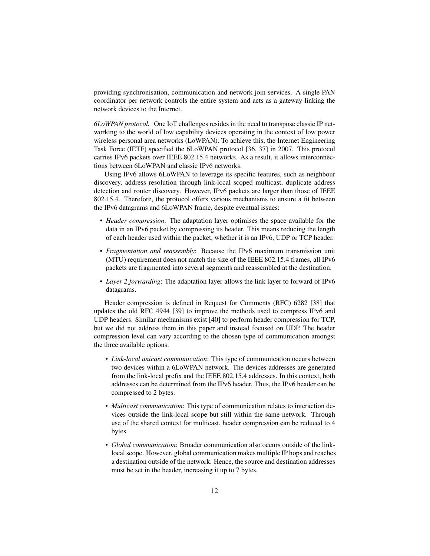providing synchronisation, communication and network join services. A single PAN coordinator per network controls the entire system and acts as a gateway linking the network devices to the Internet.

*6LoWPAN protocol.* One IoT challenges resides in the need to transpose classic IP networking to the world of low capability devices operating in the context of low power wireless personal area networks (LoWPAN). To achieve this, the Internet Engineering Task Force (IETF) specified the 6LoWPAN protocol [36, 37] in 2007. This protocol carries IPv6 packets over IEEE 802.15.4 networks. As a result, it allows interconnections between 6LoWPAN and classic IPv6 networks.

Using IPv6 allows 6LoWPAN to leverage its specific features, such as neighbour discovery, address resolution through link-local scoped multicast, duplicate address detection and router discovery. However, IPv6 packets are larger than those of IEEE 802.15.4. Therefore, the protocol offers various mechanisms to ensure a fit between the IPv6 datagrams and 6LoWPAN frame, despite eventual issues:

- *Header compression*: The adaptation layer optimises the space available for the data in an IPv6 packet by compressing its header. This means reducing the length of each header used within the packet, whether it is an IPv6, UDP or TCP header.
- *Fragmentation and reassembly*: Because the IPv6 maximum transmission unit (MTU) requirement does not match the size of the IEEE 802.15.4 frames, all IPv6 packets are fragmented into several segments and reassembled at the destination.
- *Layer 2 forwarding*: The adaptation layer allows the link layer to forward of IPv6 datagrams.

Header compression is defined in Request for Comments (RFC) 6282 [38] that updates the old RFC 4944 [39] to improve the methods used to compress IPv6 and UDP headers. Similar mechanisms exist [40] to perform header compression for TCP, but we did not address them in this paper and instead focused on UDP. The header compression level can vary according to the chosen type of communication amongst the three available options:

- *Link-local unicast communication*: This type of communication occurs between two devices within a 6LoWPAN network. The devices addresses are generated from the link-local prefix and the IEEE 802.15.4 addresses. In this context, both addresses can be determined from the IPv6 header. Thus, the IPv6 header can be compressed to 2 bytes.
- *Multicast communication*: This type of communication relates to interaction devices outside the link-local scope but still within the same network. Through use of the shared context for multicast, header compression can be reduced to 4 bytes.
- *Global communication*: Broader communication also occurs outside of the linklocal scope. However, global communication makes multiple IP hops and reaches a destination outside of the network. Hence, the source and destination addresses must be set in the header, increasing it up to 7 bytes.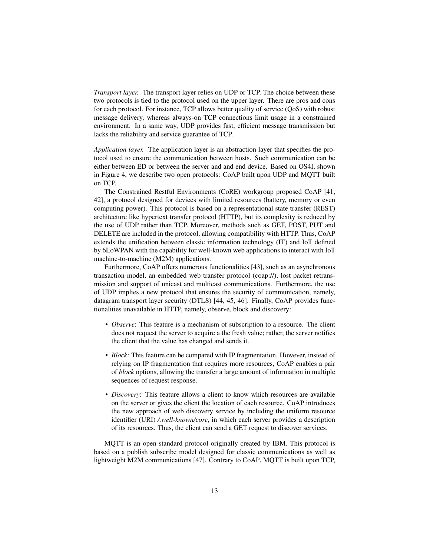*Transport layer.* The transport layer relies on UDP or TCP. The choice between these two protocols is tied to the protocol used on the upper layer. There are pros and cons for each protocol. For instance, TCP allows better quality of service (QoS) with robust message delivery, whereas always-on TCP connections limit usage in a constrained environment. In a same way, UDP provides fast, efficient message transmission but lacks the reliability and service guarantee of TCP.

*Application layer.* The application layer is an abstraction layer that specifies the protocol used to ensure the communication between hosts. Such communication can be either between ED or between the server and and end device. Based on OS4I, shown in Figure 4, we describe two open protocols: CoAP built upon UDP and MQTT built on TCP.

The Constrained Restful Environments (CoRE) workgroup proposed CoAP [41, 42], a protocol designed for devices with limited resources (battery, memory or even computing power). This protocol is based on a representational state transfer (REST) architecture like hypertext transfer protocol (HTTP), but its complexity is reduced by the use of UDP rather than TCP. Moreover, methods such as GET, POST, PUT and DELETE are included in the protocol, allowing compatibility with HTTP. Thus, CoAP extends the unification between classic information technology (IT) and IoT defined by 6LoWPAN with the capability for well-known web applications to interact with IoT machine-to-machine (M2M) applications.

Furthermore, CoAP offers numerous functionalities [43], such as an asynchronous transaction model, an embedded web transfer protocol (coap://), lost packet retransmission and support of unicast and multicast communications. Furthermore, the use of UDP implies a new protocol that ensures the security of communication, namely, datagram transport layer security (DTLS) [44, 45, 46]. Finally, CoAP provides functionalities unavailable in HTTP, namely, observe, block and discovery:

- *Observe*: This feature is a mechanism of subscription to a resource. The client does not request the server to acquire a the fresh value; rather, the server notifies the client that the value has changed and sends it.
- *Block*: This feature can be compared with IP fragmentation. However, instead of relying on IP fragmentation that requires more resources, CoAP enables a pair of *block* options, allowing the transfer a large amount of information in multiple sequences of request response.
- *Discovery*: This feature allows a client to know which resources are available on the server or gives the client the location of each resource. CoAP introduces the new approach of web discovery service by including the uniform resource identifier (URI) */.well-known/core*, in which each server provides a description of its resources. Thus, the client can send a GET request to discover services.

MQTT is an open standard protocol originally created by IBM. This protocol is based on a publish subscribe model designed for classic communications as well as lightweight M2M communications [47]. Contrary to CoAP, MQTT is built upon TCP,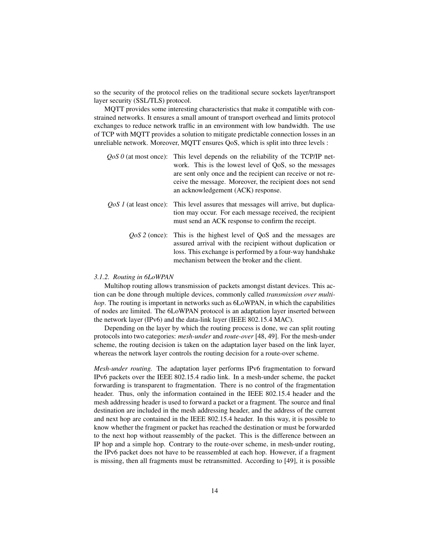so the security of the protocol relies on the traditional secure sockets layer/transport layer security (SSL/TLS) protocol.

MQTT provides some interesting characteristics that make it compatible with constrained networks. It ensures a small amount of transport overhead and limits protocol exchanges to reduce network traffic in an environment with low bandwidth. The use of TCP with MQTT provides a solution to mitigate predictable connection losses in an unreliable network. Moreover, MQTT ensures QoS, which is split into three levels :

- *QoS 0* (at most once): This level depends on the reliability of the TCP/IP network. This is the lowest level of QoS, so the messages are sent only once and the recipient can receive or not receive the message. Moreover, the recipient does not send an acknowledgement (ACK) response.
- *QoS 1* (at least once): This level assures that messages will arrive, but duplication may occur. For each message received, the recipient must send an ACK response to confirm the receipt.
	- *QoS 2* (once): This is the highest level of QoS and the messages are assured arrival with the recipient without duplication or loss. This exchange is performed by a four-way handshake mechanism between the broker and the client.

## *3.1.2. Routing in 6LoWPAN*

Multihop routing allows transmission of packets amongst distant devices. This action can be done through multiple devices, commonly called *transmission over multihop*. The routing is important in networks such as 6LoWPAN, in which the capabilities of nodes are limited. The 6LoWPAN protocol is an adaptation layer inserted between the network layer (IPv6) and the data-link layer (IEEE 802.15.4 MAC).

Depending on the layer by which the routing process is done, we can split routing protocols into two categories: *mesh-under* and *route-over* [48, 49]. For the mesh-under scheme, the routing decision is taken on the adaptation layer based on the link layer, whereas the network layer controls the routing decision for a route-over scheme.

*Mesh-under routing.* The adaptation layer performs IPv6 fragmentation to forward IPv6 packets over the IEEE 802.15.4 radio link. In a mesh-under scheme, the packet forwarding is transparent to fragmentation. There is no control of the fragmentation header. Thus, only the information contained in the IEEE 802.15.4 header and the mesh addressing header is used to forward a packet or a fragment. The source and final destination are included in the mesh addressing header, and the address of the current and next hop are contained in the IEEE 802.15.4 header. In this way, it is possible to know whether the fragment or packet has reached the destination or must be forwarded to the next hop without reassembly of the packet. This is the difference between an IP hop and a simple hop. Contrary to the route-over scheme, in mesh-under routing, the IPv6 packet does not have to be reassembled at each hop. However, if a fragment is missing, then all fragments must be retransmitted. According to [49], it is possible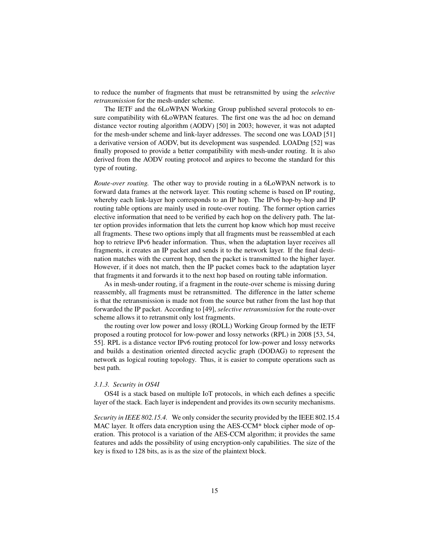to reduce the number of fragments that must be retransmitted by using the *selective retransmission* for the mesh-under scheme.

The IETF and the 6LoWPAN Working Group published several protocols to ensure compatibility with 6LoWPAN features. The first one was the ad hoc on demand distance vector routing algorithm (AODV) [50] in 2003; however, it was not adapted for the mesh-under scheme and link-layer addresses. The second one was LOAD [51] a derivative version of AODV, but its development was suspended. LOADng [52] was finally proposed to provide a better compatibility with mesh-under routing. It is also derived from the AODV routing protocol and aspires to become the standard for this type of routing.

*Route-over routing.* The other way to provide routing in a 6LoWPAN network is to forward data frames at the network layer. This routing scheme is based on IP routing, whereby each link-layer hop corresponds to an IP hop. The IPv6 hop-by-hop and IP routing table options are mainly used in route-over routing. The former option carries elective information that need to be verified by each hop on the delivery path. The latter option provides information that lets the current hop know which hop must receive all fragments. These two options imply that all fragments must be reassembled at each hop to retrieve IPv6 header information. Thus, when the adaptation layer receives all fragments, it creates an IP packet and sends it to the network layer. If the final destination matches with the current hop, then the packet is transmitted to the higher layer. However, if it does not match, then the IP packet comes back to the adaptation layer that fragments it and forwards it to the next hop based on routing table information.

As in mesh-under routing, if a fragment in the route-over scheme is missing during reassembly, all fragments must be retransmitted. The difference in the latter scheme is that the retransmission is made not from the source but rather from the last hop that forwarded the IP packet. According to [49], *selective retransmission* for the route-over scheme allows it to retransmit only lost fragments.

the routing over low power and lossy (ROLL) Working Group formed by the IETF proposed a routing protocol for low-power and lossy networks (RPL) in 2008 [53, 54, 55]. RPL is a distance vector IPv6 routing protocol for low-power and lossy networks and builds a destination oriented directed acyclic graph (DODAG) to represent the network as logical routing topology. Thus, it is easier to compute operations such as best path.

## *3.1.3. Security in OS4I*

OS4I is a stack based on multiple IoT protocols, in which each defines a specific layer of the stack. Each layer is independent and provides its own security mechanisms.

*Security in IEEE 802.15.4.* We only consider the security provided by the IEEE 802.15.4 MAC layer. It offers data encryption using the AES-CCM\* block cipher mode of operation. This protocol is a variation of the AES-CCM algorithm; it provides the same features and adds the possibility of using encryption-only capabilities. The size of the key is fixed to 128 bits, as is as the size of the plaintext block.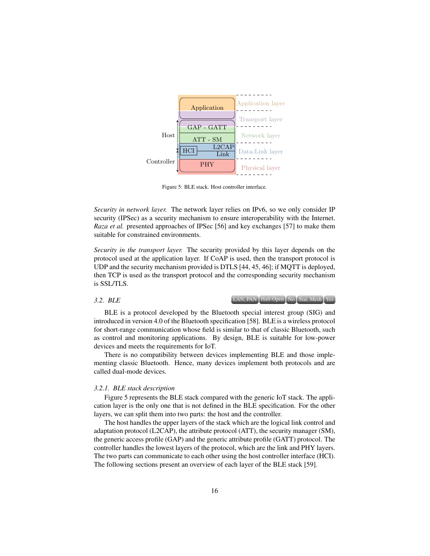

Figure 5: BLE stack. Host controller interface.

*Security in network layer.* The network layer relies on IPv6, so we only consider IP security (IPSec) as a security mechanism to ensure interoperability with the Internet. *Raza et al.* presented approaches of IPSec [56] and key exchanges [57] to make them suitable for constrained environments.

*Security in the transport layer.* The security provided by this layer depends on the protocol used at the application layer. If CoAP is used, then the transport protocol is UDP and the security mechanism provided is DTLS [44, 45, 46]; if MQTT is deployed, then TCP is used as the transport protocol and the corresponding security mechanism is SSL/TLS.

**3.2. BLE** LAN, PAN Half-Open No Star, Mesh Yes

BLE is a protocol developed by the Bluetooth special interest group (SIG) and introduced in version 4.0 of the Bluetooth specification [58]. BLE is a wireless protocol for short-range communication whose field is similar to that of classic Bluetooth, such as control and monitoring applications. By design, BLE is suitable for low-power devices and meets the requirements for IoT.

There is no compatibility between devices implementing BLE and those implementing classic Bluetooth. Hence, many devices implement both protocols and are called dual-mode devices.

## *3.2.1. BLE stack description*

Figure 5 represents the BLE stack compared with the generic IoT stack. The application layer is the only one that is not defined in the BLE specification. For the other layers, we can split them into two parts: the host and the controller.

The host handles the upper layers of the stack which are the logical link control and adaptation protocol (L2CAP), the attribute protocol (ATT), the security manager (SM), the generic access profile (GAP) and the generic attribute profile (GATT) protocol. The controller handles the lowest layers of the protocol, which are the link and PHY layers. The two parts can communicate to each other using the host controller interface (HCI). The following sections present an overview of each layer of the BLE stack [59].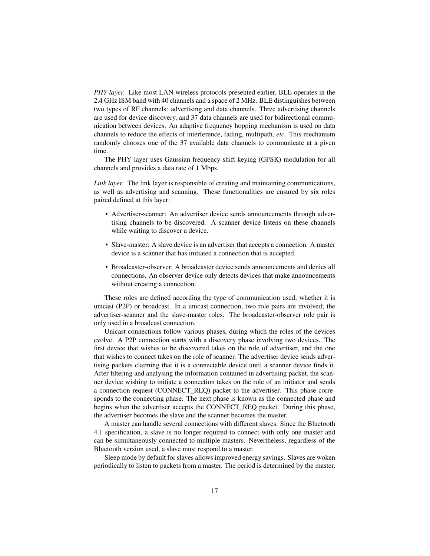*PHY layer.* Like most LAN wireless protocols presented earlier, BLE operates in the 2.4 GHz ISM band with 40 channels and a space of 2 MHz. BLE distinguishes between two types of RF channels: advertising and data channels. Three advertising channels are used for device discovery, and 37 data channels are used for bidirectional communication between devices. An adaptive frequency hopping mechanism is used on data channels to reduce the effects of interference, fading, multipath, *etc*. This mechanism randomly chooses one of the 37 available data channels to communicate at a given time.

The PHY layer uses Gaussian frequency-shift keying (GFSK) modulation for all channels and provides a data rate of 1 Mbps.

*Link layer.* The link layer is responsible of creating and maintaining communications, as well as advertising and scanning. These functionalities are ensured by six roles paired defined at this layer:

- Advertiser-scanner: An advertiser device sends announcements through advertising channels to be discovered. A scanner device listens on these channels while waiting to discover a device.
- Slave-master: A slave device is an advertiser that accepts a connection. A master device is a scanner that has initiated a connection that is accepted.
- Broadcaster-observer: A broadcaster device sends announcements and denies all connections. An observer device only detects devices that make announcements without creating a connection.

These roles are defined according the type of communication used, whether it is unicast (P2P) or broadcast. In a unicast connection, two role pairs are involved; the advertiser-scanner and the slave-master roles. The broadcaster-observer role pair is only used in a broadcast connection.

Unicast connections follow various phases, during which the roles of the devices evolve. A P2P connection starts with a discovery phase involving two devices. The first device that wishes to be discovered takes on the role of advertiser, and the one that wishes to connect takes on the role of scanner. The advertiser device sends advertising packets claiming that it is a connectable device until a scanner device finds it. After filtering and analysing the information contained in advertising packet, the scanner device wishing to initiate a connection takes on the role of an initiator and sends a connection request (CONNECT\_REQ) packet to the advertiser. This phase corresponds to the connecting phase. The next phase is known as the connected phase and begins when the advertiser accepts the CONNECT\_REQ packet. During this phase, the advertiser becomes the slave and the scanner becomes the master.

A master can handle several connections with different slaves. Since the Bluetooth 4.1 specification, a slave is no longer required to connect with only one master and can be simultaneously connected to multiple masters. Nevertheless, regardless of the Bluetooth version used, a slave must respond to a master.

Sleep mode by default for slaves allows improved energy savings. Slaves are woken periodically to listen to packets from a master. The period is determined by the master.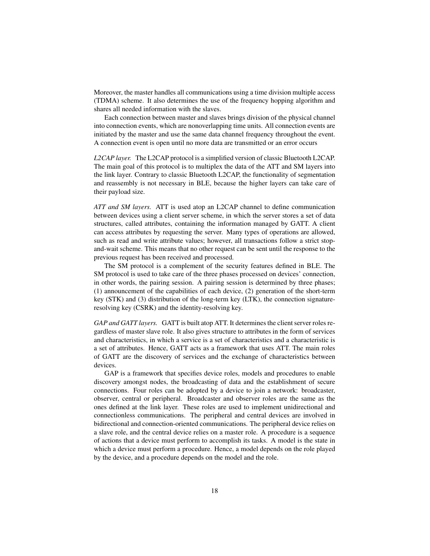Moreover, the master handles all communications using a time division multiple access (TDMA) scheme. It also determines the use of the frequency hopping algorithm and shares all needed information with the slaves.

Each connection between master and slaves brings division of the physical channel into connection events, which are nonoverlapping time units. All connection events are initiated by the master and use the same data channel frequency throughout the event. A connection event is open until no more data are transmitted or an error occurs

*L2CAP layer.* The L2CAP protocol is a simplified version of classic Bluetooth L2CAP. The main goal of this protocol is to multiplex the data of the ATT and SM layers into the link layer. Contrary to classic Bluetooth L2CAP, the functionality of segmentation and reassembly is not necessary in BLE, because the higher layers can take care of their payload size.

*ATT and SM layers.* ATT is used atop an L2CAP channel to define communication between devices using a client server scheme, in which the server stores a set of data structures, called attributes, containing the information managed by GATT. A client can access attributes by requesting the server. Many types of operations are allowed, such as read and write attribute values; however, all transactions follow a strict stopand-wait scheme. This means that no other request can be sent until the response to the previous request has been received and processed.

The SM protocol is a complement of the security features defined in BLE. The SM protocol is used to take care of the three phases processed on devices' connection, in other words, the pairing session. A pairing session is determined by three phases; (1) announcement of the capabilities of each device, (2) generation of the short-term key (STK) and (3) distribution of the long-term key (LTK), the connection signatureresolving key (CSRK) and the identity-resolving key.

*GAP and GATT layers.* GATT is built atop ATT. It determines the client server roles regardless of master slave role. It also gives structure to attributes in the form of services and characteristics, in which a service is a set of characteristics and a characteristic is a set of attributes. Hence, GATT acts as a framework that uses ATT. The main roles of GATT are the discovery of services and the exchange of characteristics between devices.

GAP is a framework that specifies device roles, models and procedures to enable discovery amongst nodes, the broadcasting of data and the establishment of secure connections. Four roles can be adopted by a device to join a network: broadcaster, observer, central or peripheral. Broadcaster and observer roles are the same as the ones defined at the link layer. These roles are used to implement unidirectional and connectionless communications. The peripheral and central devices are involved in bidirectional and connection-oriented communications. The peripheral device relies on a slave role, and the central device relies on a master role. A procedure is a sequence of actions that a device must perform to accomplish its tasks. A model is the state in which a device must perform a procedure. Hence, a model depends on the role played by the device, and a procedure depends on the model and the role.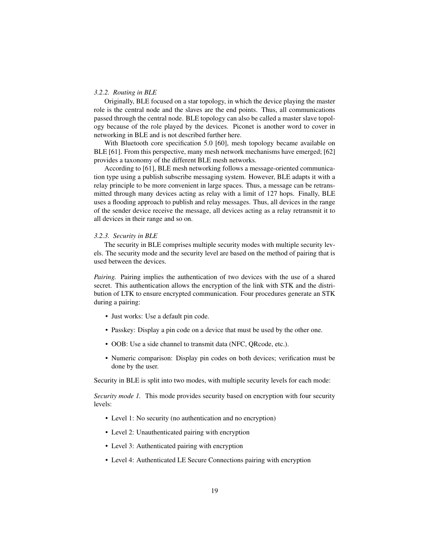## *3.2.2. Routing in BLE*

Originally, BLE focused on a star topology, in which the device playing the master role is the central node and the slaves are the end points. Thus, all communications passed through the central node. BLE topology can also be called a master slave topology because of the role played by the devices. Piconet is another word to cover in networking in BLE and is not described further here.

With Bluetooth core specification 5.0 [60], mesh topology became available on BLE [61]. From this perspective, many mesh network mechanisms have emerged; [62] provides a taxonomy of the different BLE mesh networks.

According to [61], BLE mesh networking follows a message-oriented communication type using a publish subscribe messaging system. However, BLE adapts it with a relay principle to be more convenient in large spaces. Thus, a message can be retransmitted through many devices acting as relay with a limit of 127 hops. Finally, BLE uses a flooding approach to publish and relay messages. Thus, all devices in the range of the sender device receive the message, all devices acting as a relay retransmit it to all devices in their range and so on.

## *3.2.3. Security in BLE*

The security in BLE comprises multiple security modes with multiple security levels. The security mode and the security level are based on the method of pairing that is used between the devices.

*Pairing.* Pairing implies the authentication of two devices with the use of a shared secret. This authentication allows the encryption of the link with STK and the distribution of LTK to ensure encrypted communication. Four procedures generate an STK during a pairing:

- Just works: Use a default pin code.
- Passkey: Display a pin code on a device that must be used by the other one.
- OOB: Use a side channel to transmit data (NFC, QRcode, etc.).
- Numeric comparison: Display pin codes on both devices; verification must be done by the user.

Security in BLE is split into two modes, with multiple security levels for each mode:

*Security mode 1.* This mode provides security based on encryption with four security levels:

- Level 1: No security (no authentication and no encryption)
- Level 2: Unauthenticated pairing with encryption
- Level 3: Authenticated pairing with encryption
- Level 4: Authenticated LE Secure Connections pairing with encryption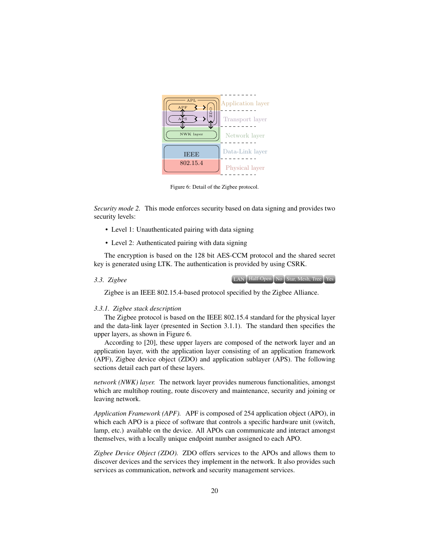

Figure 6: Detail of the Zigbee protocol.

*Security mode 2.* This mode enforces security based on data signing and provides two security levels:

- Level 1: Unauthenticated pairing with data signing
- Level 2: Authenticated pairing with data signing

The encryption is based on the 128 bit AES-CCM protocol and the shared secret key is generated using LTK. The authentication is provided by using CSRK.

**3.3. Zigbee** Star, Mesh, Tree Yes

Zigbee is an IEEE 802.15.4-based protocol specified by the Zigbee Alliance.

## *3.3.1. Zigbee stack description*

The Zigbee protocol is based on the IEEE 802.15.4 standard for the physical layer and the data-link layer (presented in Section 3.1.1). The standard then specifies the upper layers, as shown in Figure 6.

According to [20], these upper layers are composed of the network layer and an application layer, with the application layer consisting of an application framework (APF), Zigbee device object (ZDO) and application sublayer (APS). The following sections detail each part of these layers.

*network (NWK) layer.* The network layer provides numerous functionalities, amongst which are multihop routing, route discovery and maintenance, security and joining or leaving network.

*Application Framework (APF).* APF is composed of 254 application object (APO), in which each APO is a piece of software that controls a specific hardware unit (switch, lamp, etc.) available on the device. All APOs can communicate and interact amongst themselves, with a locally unique endpoint number assigned to each APO.

*Zigbee Device Object (ZDO).* ZDO offers services to the APOs and allows them to discover devices and the services they implement in the network. It also provides such services as communication, network and security management services.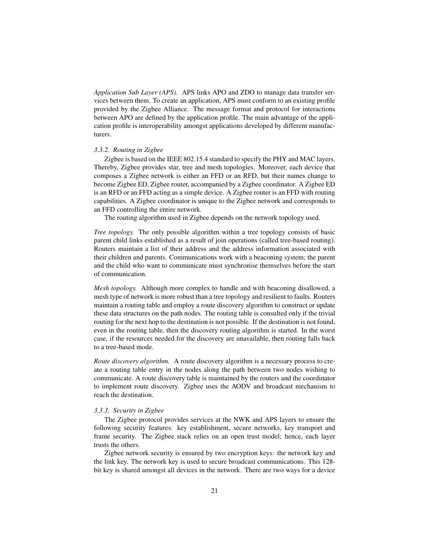*Application Sub Layer (APS).* APS links APO and ZDO to manage data transfer services between them. To create an application, APS must conform to an existing profile provided by the Zigbee Alliance. The message format and protocol for interactions between APO are defined by the application profile. The main advantage of the application profile is interoperability amongst applications developed by different manufacturers.

## *3.3.2. Routing in Zigbee*

Zigbee is based on the IEEE 802.15.4 standard to specify the PHY and MAC layers. Thereby, Zigbee provides star, tree and mesh topologies. Moreover, each device that composes a Zigbee network is either an FFD or an RFD, but their names change to become Zigbee ED, Zigbee router, accompanied by a Zigbee coordinator. A Zigbee ED is an RFD or an FFD acting as a simple device. A Zigbee router is an FFD with routing capabilities. A Zigbee coordinator is unique to the Zigbee network and corresponds to an FFD controlling the entire network.

The routing algorithm used in Zigbee depends on the network topology used.

*Tree topology.* The only possible algorithm within a tree topology consists of basic parent child links established as a result of join operations (called tree-based routing). Routers maintain a list of their address and the address information associated with their children and parents. Communications work with a beaconing system; the parent and the child who want to communicate must synchronise themselves before the start of communication.

*Mesh topology.* Although more complex to handle and with beaconing disallowed, a mesh type of network is more robust than a tree topology and resilient to faults. Routers maintain a routing table and employ a route discovery algorithm to construct or update these data structures on the path nodes. The routing table is consulted only if the trivial routing for the next hop to the destination is not possible. If the destination is not found, even in the routing table, then the discovery routing algorithm is started. In the worst case, if the resources needed for the discovery are unavailable, then routing falls back to a tree-based mode.

*Route discovery algorithm.* A route discovery algorithm is a necessary process to create a routing table entry in the nodes along the path between two nodes wishing to communicate. A route discovery table is maintained by the routers and the coordinator to implement route discovery. Zigbee uses the AODV and broadcast mechanism to reach the destination.

## *3.3.3. Security in Zigbee*

The Zigbee protocol provides services at the NWK and APS layers to ensure the following security features: key establishment, secure networks, key transport and frame security. The Zigbee stack relies on an open trust model; hence, each layer trusts the others.

Zigbee network security is ensured by two encryption keys: the network key and the link key. The network key is used to secure broadcast communications. This 128 bit key is shared amongst all devices in the network. There are two ways for a device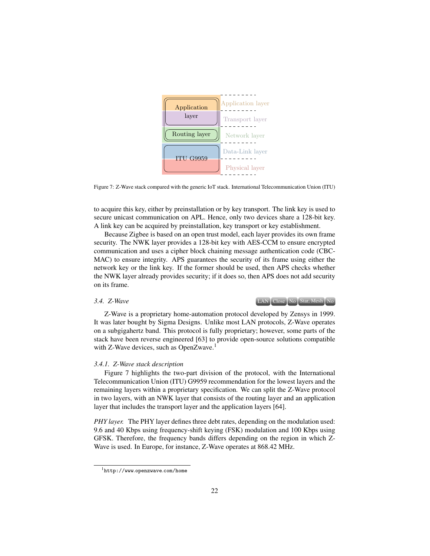

Figure 7: Z-Wave stack compared with the generic IoT stack. International Telecommunication Union (ITU)

to acquire this key, either by preinstallation or by key transport. The link key is used to secure unicast communication on APL. Hence, only two devices share a 128-bit key. A link key can be acquired by preinstallation, key transport or key establishment.

Because Zigbee is based on an open trust model, each layer provides its own frame security. The NWK layer provides a 128-bit key with AES-CCM to ensure encrypted communication and uses a cipher block chaining message authentication code (CBC-MAC) to ensure integrity. APS guarantees the security of its frame using either the network key or the link key. If the former should be used, then APS checks whether the NWK layer already provides security; if it does so, then APS does not add security on its frame.

**3.4. Z-Wave** LAN Close No Star, Mesh No

Z-Wave is a proprietary home-automation protocol developed by Zensys in 1999. It was later bought by Sigma Designs. Unlike most LAN protocols, Z-Wave operates on a subgigahertz band. This protocol is fully proprietary; however, some parts of the stack have been reverse engineered [63] to provide open-source solutions compatible with Z-Wave devices, such as OpenZwave.<sup>1</sup>

## *3.4.1. Z-Wave stack description*

Figure 7 highlights the two-part division of the protocol, with the International Telecommunication Union (ITU) G9959 recommendation for the lowest layers and the remaining layers within a proprietary specification. We can split the Z-Wave protocol in two layers, with an NWK layer that consists of the routing layer and an application layer that includes the transport layer and the application layers [64].

*PHY layer.* The PHY layer defines three debt rates, depending on the modulation used: 9.6 and 40 Kbps using frequency-shift keying (FSK) modulation and 100 Kbps using GFSK. Therefore, the frequency bands differs depending on the region in which Z-Wave is used. In Europe, for instance, Z-Wave operates at 868.42 MHz.

<sup>1</sup>http://www.openzwave.com/home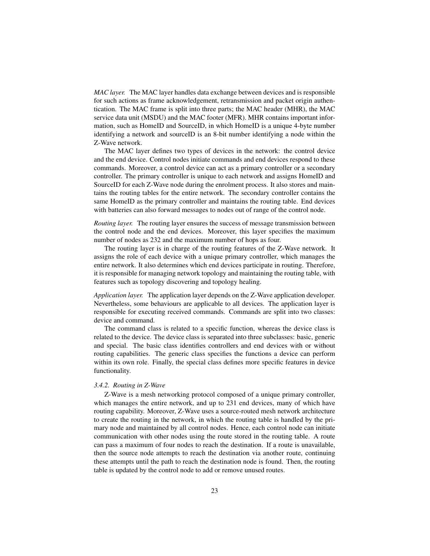*MAC layer.* The MAC layer handles data exchange between devices and is responsible for such actions as frame acknowledgement, retransmission and packet origin authentication. The MAC frame is split into three parts; the MAC header (MHR), the MAC service data unit (MSDU) and the MAC footer (MFR). MHR contains important information, such as HomeID and SourceID, in which HomeID is a unique 4-byte number identifying a network and sourceID is an 8-bit number identifying a node within the Z-Wave network.

The MAC layer defines two types of devices in the network: the control device and the end device. Control nodes initiate commands and end devices respond to these commands. Moreover, a control device can act as a primary controller or a secondary controller. The primary controller is unique to each network and assigns HomeID and SourceID for each Z-Wave node during the enrolment process. It also stores and maintains the routing tables for the entire network. The secondary controller contains the same HomeID as the primary controller and maintains the routing table. End devices with batteries can also forward messages to nodes out of range of the control node.

*Routing layer.* The routing layer ensures the success of message transmission between the control node and the end devices. Moreover, this layer specifies the maximum number of nodes as 232 and the maximum number of hops as four.

The routing layer is in charge of the routing features of the Z-Wave network. It assigns the role of each device with a unique primary controller, which manages the entire network. It also determines which end devices participate in routing. Therefore, it is responsible for managing network topology and maintaining the routing table, with features such as topology discovering and topology healing.

*Application layer.* The application layer depends on the Z-Wave application developer. Nevertheless, some behaviours are applicable to all devices. The application layer is responsible for executing received commands. Commands are split into two classes: device and command.

The command class is related to a specific function, whereas the device class is related to the device. The device class is separated into three subclasses: basic, generic and special. The basic class identifies controllers and end devices with or without routing capabilities. The generic class specifies the functions a device can perform within its own role. Finally, the special class defines more specific features in device functionality.

## *3.4.2. Routing in Z-Wave*

Z-Wave is a mesh networking protocol composed of a unique primary controller, which manages the entire network, and up to 231 end devices, many of which have routing capability. Moreover, Z-Wave uses a source-routed mesh network architecture to create the routing in the network, in which the routing table is handled by the primary node and maintained by all control nodes. Hence, each control node can initiate communication with other nodes using the route stored in the routing table. A route can pass a maximum of four nodes to reach the destination. If a route is unavailable, then the source node attempts to reach the destination via another route, continuing these attempts until the path to reach the destination node is found. Then, the routing table is updated by the control node to add or remove unused routes.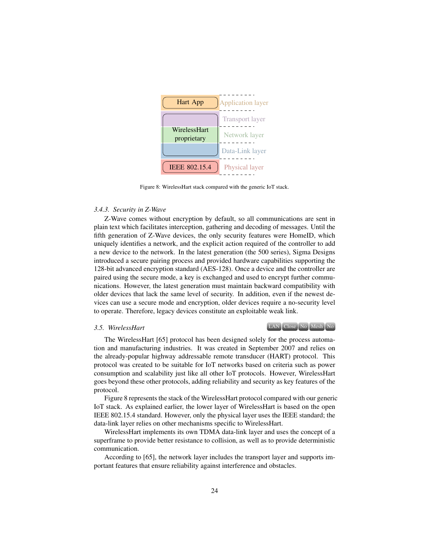

Figure 8: WirelessHart stack compared with the generic IoT stack.

## *3.4.3. Security in Z-Wave*

Z-Wave comes without encryption by default, so all communications are sent in plain text which facilitates interception, gathering and decoding of messages. Until the fifth generation of Z-Wave devices, the only security features were HomeID, which uniquely identifies a network, and the explicit action required of the controller to add a new device to the network. In the latest generation (the 500 series), Sigma Designs introduced a secure pairing process and provided hardware capabilities supporting the 128-bit advanced encryption standard (AES-128). Once a device and the controller are paired using the secure mode, a key is exchanged and used to encrypt further communications. However, the latest generation must maintain backward compatibility with older devices that lack the same level of security. In addition, even if the newest devices can use a secure mode and encryption, older devices require a no-security level to operate. Therefore, legacy devices constitute an exploitable weak link.

## **3.5. WirelessHart** No **LAN** Close No Mesh No

The WirelessHart [65] protocol has been designed solely for the process automation and manufacturing industries. It was created in September 2007 and relies on the already-popular highway addressable remote transducer (HART) protocol. This protocol was created to be suitable for IoT networks based on criteria such as power consumption and scalability just like all other IoT protocols. However, WirelessHart goes beyond these other protocols, adding reliability and security as key features of the protocol.

Figure 8 represents the stack of the WirelessHart protocol compared with our generic IoT stack. As explained earlier, the lower layer of WirelessHart is based on the open IEEE 802.15.4 standard. However, only the physical layer uses the IEEE standard; the data-link layer relies on other mechanisms specific to WirelessHart.

WirelessHart implements its own TDMA data-link layer and uses the concept of a superframe to provide better resistance to collision, as well as to provide deterministic communication.

According to [65], the network layer includes the transport layer and supports important features that ensure reliability against interference and obstacles.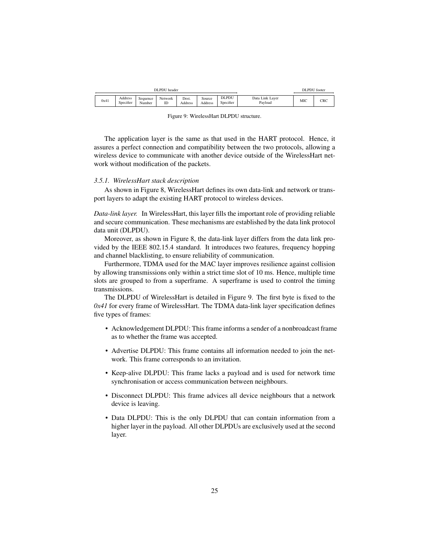|      |                      | DLPDU header       |               |                         | <b>DLPDU</b> footer |                           |                            |     |     |
|------|----------------------|--------------------|---------------|-------------------------|---------------------|---------------------------|----------------------------|-----|-----|
| 0x41 | Address<br>Specifier | Sequence<br>Number | Network<br>ID | Dest.<br><b>Address</b> | Source<br>Address   | <b>DLPDU</b><br>Specifier | Data Link Laver<br>Payload | МIС | CRC |

Figure 9: WirelessHart DLPDU structure.

The application layer is the same as that used in the HART protocol. Hence, it assures a perfect connection and compatibility between the two protocols, allowing a wireless device to communicate with another device outside of the WirelessHart network without modification of the packets.

## *3.5.1. WirelessHart stack description*

As shown in Figure 8, WirelessHart defines its own data-link and network or transport layers to adapt the existing HART protocol to wireless devices.

*Data-link layer.* In WirelessHart, this layer fills the important role of providing reliable and secure communication. These mechanisms are established by the data link protocol data unit (DLPDU).

Moreover, as shown in Figure 8, the data-link layer differs from the data link provided by the IEEE 802.15.4 standard. It introduces two features, frequency hopping and channel blacklisting, to ensure reliability of communication.

Furthermore, TDMA used for the MAC layer improves resilience against collision by allowing transmissions only within a strict time slot of 10 ms. Hence, multiple time slots are grouped to from a superframe. A superframe is used to control the timing transmissions.

The DLPDU of WirelessHart is detailed in Figure 9. The first byte is fixed to the *0x41* for every frame of WirelessHart. The TDMA data-link layer specification defines five types of frames:

- Acknowledgement DLPDU: This frame informs a sender of a nonbroadcast frame as to whether the frame was accepted.
- Advertise DLPDU: This frame contains all information needed to join the network. This frame corresponds to an invitation.
- Keep-alive DLPDU: This frame lacks a payload and is used for network time synchronisation or access communication between neighbours.
- Disconnect DLPDU: This frame advices all device neighbours that a network device is leaving.
- Data DLPDU: This is the only DLPDU that can contain information from a higher layer in the payload. All other DLPDUs are exclusively used at the second layer.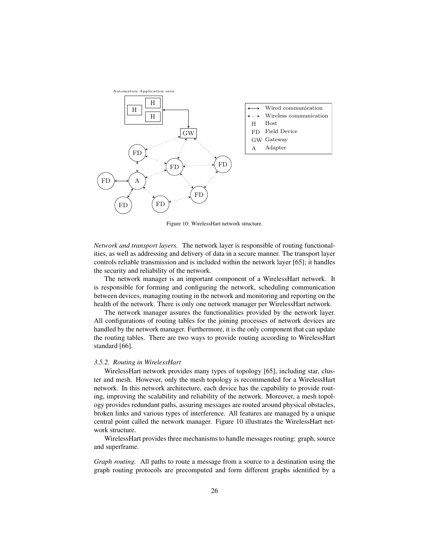

Figure 10: WirelessHart network structure.

*Network and transport layers.* The network layer is responsible of routing functionalities, as well as addressing and delivery of data in a secure manner. The transport layer controls reliable transmission and is included within the network layer [65]; it handles the security and reliability of the network.

The network manager is an important component of a WirelessHart network. It is responsible for forming and configuring the network, scheduling communication between devices, managing routing in the network and monitoring and reporting on the health of the network. There is only one network manager per WirelessHart network.

The network manager assures the functionalities provided by the network layer. All configurations of routing tables for the joining processes of network devices are handled by the network manager. Furthermore, it is the only component that can update the routing tables. There are two ways to provide routing according to WirelessHart standard [66].

## *3.5.2. Routing in WirelessHart*

WirelessHart network provides many types of topology [65], including star, cluster and mesh. However, only the mesh topology is recommended for a WirelessHart network. In this network architecture, each device has the capability to provide routing, improving the scalability and reliability of the network. Moreover, a mesh topology provides redundant paths, assuring messages are routed around physical obstacles, broken links and various types of interference. All features are managed by a unique central point called the network manager. Figure 10 illustrates the WirelessHart network structure.

WirelessHart provides three mechanisms to handle messages routing: graph, source and superframe.

*Graph routing.* All paths to route a message from a source to a destination using the graph routing protocols are precomputed and form different graphs identified by a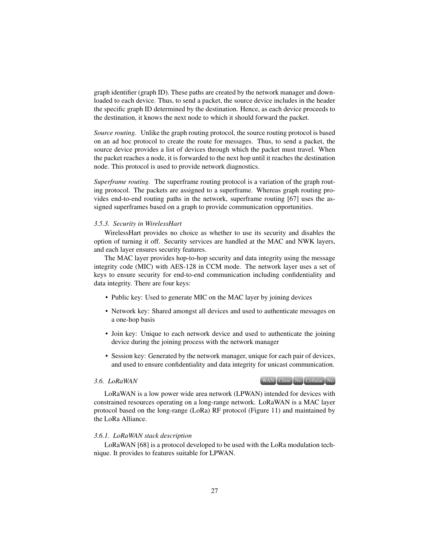graph identifier (graph ID). These paths are created by the network manager and downloaded to each device. Thus, to send a packet, the source device includes in the header the specific graph ID determined by the destination. Hence, as each device proceeds to the destination, it knows the next node to which it should forward the packet.

*Source routing.* Unlike the graph routing protocol, the source routing protocol is based on an ad hoc protocol to create the route for messages. Thus, to send a packet, the source device provides a list of devices through which the packet must travel. When the packet reaches a node, it is forwarded to the next hop until it reaches the destination node. This protocol is used to provide network diagnostics.

*Superframe routing.* The superframe routing protocol is a variation of the graph routing protocol. The packets are assigned to a superframe. Whereas graph routing provides end-to-end routing paths in the network, superframe routing [67] uses the assigned superframes based on a graph to provide communication opportunities.

## *3.5.3. Security in WirelessHart*

WirelessHart provides no choice as whether to use its security and disables the option of turning it off. Security services are handled at the MAC and NWK layers, and each layer ensures security features.

The MAC layer provides hop-to-hop security and data integrity using the message integrity code (MIC) with AES-128 in CCM mode. The network layer uses a set of keys to ensure security for end-to-end communication including confidentiality and data integrity. There are four keys:

- Public key: Used to generate MIC on the MAC layer by joining devices
- Network key: Shared amongst all devices and used to authenticate messages on a one-hop basis
- Join key: Unique to each network device and used to authenticate the joining device during the joining process with the network manager
- Session key: Generated by the network manager, unique for each pair of devices, and used to ensure confidentiality and data integrity for unicast communication.

## **3.6.** LoRaWAN WAN Close No Cellular No

LoRaWAN is a low power wide area network (LPWAN) intended for devices with constrained resources operating on a long-range network. LoRaWAN is a MAC layer protocol based on the long-range (LoRa) RF protocol (Figure 11) and maintained by the LoRa Alliance.

## *3.6.1. LoRaWAN stack description*

LoRaWAN [68] is a protocol developed to be used with the LoRa modulation technique. It provides to features suitable for LPWAN.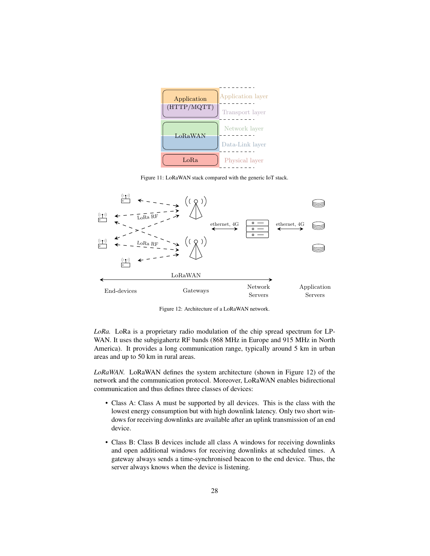

Figure 11: LoRaWAN stack compared with the generic IoT stack.



Figure 12: Architecture of a LoRaWAN network.

*LoRa.* LoRa is a proprietary radio modulation of the chip spread spectrum for LP-WAN. It uses the subgigahertz RF bands (868 MHz in Europe and 915 MHz in North America). It provides a long communication range, typically around 5 km in urban areas and up to 50 km in rural areas.

*LoRaWAN.* LoRaWAN defines the system architecture (shown in Figure 12) of the network and the communication protocol. Moreover, LoRaWAN enables bidirectional communication and thus defines three classes of devices:

- Class A: Class A must be supported by all devices. This is the class with the lowest energy consumption but with high downlink latency. Only two short windows for receiving downlinks are available after an uplink transmission of an end device.
- Class B: Class B devices include all class A windows for receiving downlinks and open additional windows for receiving downlinks at scheduled times. A gateway always sends a time-synchronised beacon to the end device. Thus, the server always knows when the device is listening.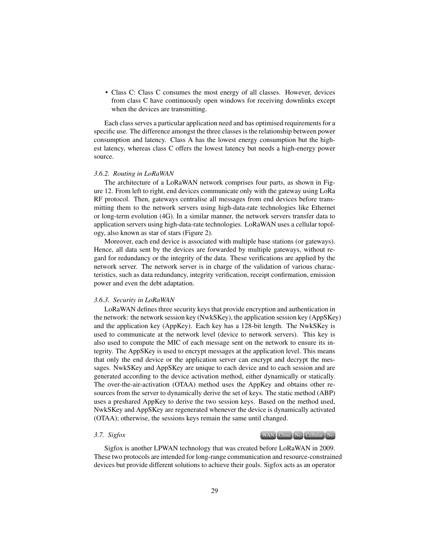• Class C: Class C consumes the most energy of all classes. However, devices from class C have continuously open windows for receiving downlinks except when the devices are transmitting.

Each class serves a particular application need and has optimised requirements for a specific use. The difference amongst the three classes is the relationship between power consumption and latency. Class A has the lowest energy consumption but the highest latency, whereas class C offers the lowest latency but needs a high-energy power source.

## *3.6.2. Routing in LoRaWAN*

The architecture of a LoRaWAN network comprises four parts, as shown in Figure 12. From left to right, end devices communicate only with the gateway using LoRa RF protocol. Then, gateways centralise all messages from end devices before transmitting them to the network servers using high-data-rate technologies like Ethernet or long-term evolution (4G). In a similar manner, the network servers transfer data to application servers using high-data-rate technologies. LoRaWAN uses a cellular topology, also known as star of stars (Figure 2).

Moreover, each end device is associated with multiple base stations (or gateways). Hence, all data sent by the devices are forwarded by multiple gateways, without regard for redundancy or the integrity of the data. These verifications are applied by the network server. The network server is in charge of the validation of various characteristics, such as data redundancy, integrity verification, receipt confirmation, emission power and even the debt adaptation.

## *3.6.3. Security in LoRaWAN*

LoRaWAN defines three security keys that provide encryption and authentication in the network: the network session key (NwkSKey), the application session key (AppSKey) and the application key (AppKey). Each key has a 128-bit length. The NwkSKey is used to communicate at the network level (device to network servers). This key is also used to compute the MIC of each message sent on the network to ensure its integrity. The AppSKey is used to encrypt messages at the application level. This means that only the end device or the application server can encrypt and decrypt the messages. NwkSKey and AppSKey are unique to each device and to each session and are generated according to the device activation method, either dynamically or statically. The over-the-air-activation (OTAA) method uses the AppKey and obtains other resources from the server to dynamically derive the set of keys. The static method (ABP) uses a preshared AppKey to derive the two session keys. Based on the method used, NwkSKey and AppSKey are regenerated whenever the device is dynamically activated (OTAA); otherwise, the sessions keys remain the same until changed.

## **3.7. Sigfox** WAN Close No Cellular No

Sigfox is another LPWAN technology that was created before LoRaWAN in 2009. These two protocols are intended for long-range communication and resource-constrained devices but provide different solutions to achieve their goals. Sigfox acts as an operator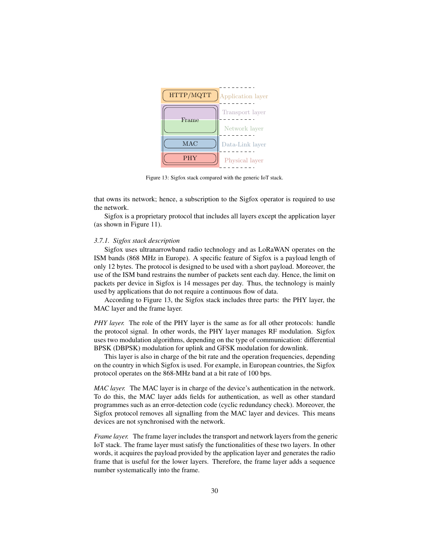

Figure 13: Sigfox stack compared with the generic IoT stack.

that owns its network; hence, a subscription to the Sigfox operator is required to use the network.

Sigfox is a proprietary protocol that includes all layers except the application layer (as shown in Figure 11).

## *3.7.1. Sigfox stack description*

Sigfox uses ultranarrowband radio technology and as LoRaWAN operates on the ISM bands (868 MHz in Europe). A specific feature of Sigfox is a payload length of only 12 bytes. The protocol is designed to be used with a short payload. Moreover, the use of the ISM band restrains the number of packets sent each day. Hence, the limit on packets per device in Sigfox is 14 messages per day. Thus, the technology is mainly used by applications that do not require a continuous flow of data.

According to Figure 13, the Sigfox stack includes three parts: the PHY layer, the MAC layer and the frame layer.

*PHY layer.* The role of the PHY layer is the same as for all other protocols: handle the protocol signal. In other words, the PHY layer manages RF modulation. Sigfox uses two modulation algorithms, depending on the type of communication: differential BPSK (DBPSK) modulation for uplink and GFSK modulation for downlink.

This layer is also in charge of the bit rate and the operation frequencies, depending on the country in which Sigfox is used. For example, in European countries, the Sigfox protocol operates on the 868-MHz band at a bit rate of 100 bps.

*MAC layer.* The MAC layer is in charge of the device's authentication in the network. To do this, the MAC layer adds fields for authentication, as well as other standard programmes such as an error-detection code (cyclic redundancy check). Moreover, the Sigfox protocol removes all signalling from the MAC layer and devices. This means devices are not synchronised with the network.

*Frame layer.* The frame layer includes the transport and network layers from the generic IoT stack. The frame layer must satisfy the functionalities of these two layers. In other words, it acquires the payload provided by the application layer and generates the radio frame that is useful for the lower layers. Therefore, the frame layer adds a sequence number systematically into the frame.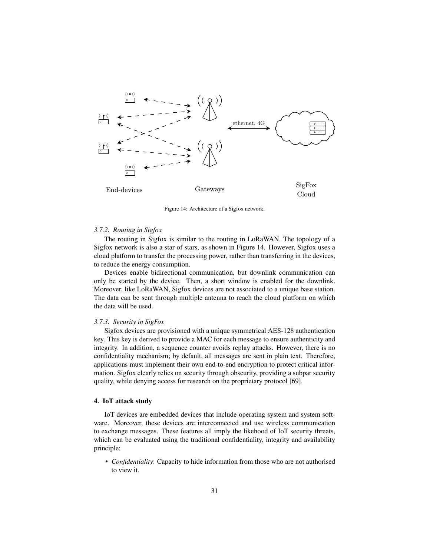

Figure 14: Architecture of a Sigfox network.

## *3.7.2. Routing in Sigfox*

The routing in Sigfox is similar to the routing in LoRaWAN. The topology of a Sigfox network is also a star of stars, as shown in Figure 14. However, Sigfox uses a cloud platform to transfer the processing power, rather than transferring in the devices, to reduce the energy consumption.

Devices enable bidirectional communication, but downlink communication can only be started by the device. Then, a short window is enabled for the downlink. Moreover, like LoRaWAN, Sigfox devices are not associated to a unique base station. The data can be sent through multiple antenna to reach the cloud platform on which the data will be used.

## *3.7.3. Security in SigFox*

Sigfox devices are provisioned with a unique symmetrical AES-128 authentication key. This key is derived to provide a MAC for each message to ensure authenticity and integrity. In addition, a sequence counter avoids replay attacks. However, there is no confidentiality mechanism; by default, all messages are sent in plain text. Therefore, applications must implement their own end-to-end encryption to protect critical information. Sigfox clearly relies on security through obscurity, providing a subpar security quality, while denying access for research on the proprietary protocol [69].

## 4. IoT attack study

IoT devices are embedded devices that include operating system and system software. Moreover, these devices are interconnected and use wireless communication to exchange messages. These features all imply the likehood of IoT security threats, which can be evaluated using the traditional confidentiality, integrity and availability principle:

• *Confidentiality*: Capacity to hide information from those who are not authorised to view it.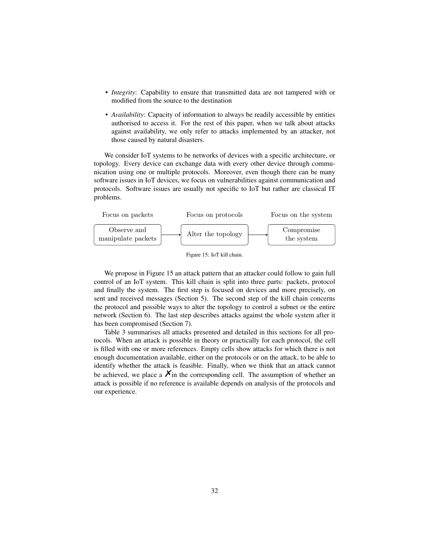- *Integrity*: Capability to ensure that transmitted data are not tampered with or modified from the source to the destination
- *Availability*: Capacity of information to always be readily accessible by entities authorised to access it. For the rest of this paper, when we talk about attacks against availability, we only refer to attacks implemented by an attacker, not those caused by natural disasters.

We consider IoT systems to be networks of devices with a specific architecture, or topology. Every device can exchange data with every other device through communication using one or multiple protocols. Moreover, even though there can be many software issues in IoT devices, we focus on vulnerabilities against communication and protocols. Software issues are usually not specific to IoT but rather are classical IT problems.



Figure 15: IoT kill chain.

We propose in Figure 15 an attack pattern that an attacker could follow to gain full control of an IoT system. This kill chain is split into three parts: packets, protocol and finally the system. The first step is focused on devices and more precisely, on sent and received messages (Section 5). The second step of the kill chain concerns the protocol and possible ways to alter the topology to control a subnet or the entire network (Section 6). The last step describes attacks against the whole system after it has been compromised (Section 7).

Table 3 summarises all attacks presented and detailed in this sections for all protocols. When an attack is possible in theory or practically for each protocol, the cell is filled with one or more references. Empty cells show attacks for which there is not enough documentation available, either on the protocols or on the attack, to be able to identify whether the attack is feasible. Finally, when we think that an attack cannot be achieved, we place a  $\chi$  in the corresponding cell. The assumption of whether an attack is possible if no reference is available depends on analysis of the protocols and our experience.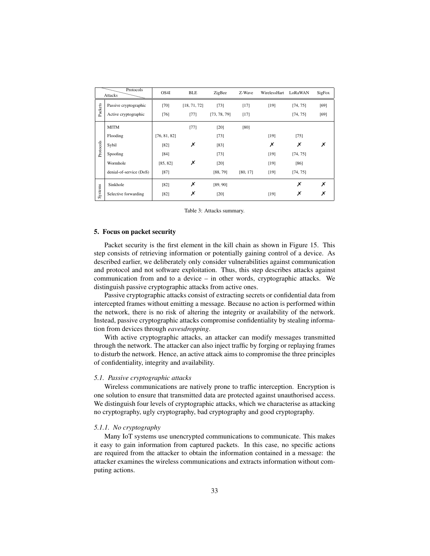|           | Protocols<br>Attacks    | OS4I         | BLE          | ZigBee       | Z-Wave   | WirelessHart | LoRaWAN  | SigFox |
|-----------|-------------------------|--------------|--------------|--------------|----------|--------------|----------|--------|
| Packets   | Passive cryptographic   | $[70]$       | [18, 71, 72] | $[73]$       | $[17]$   | [19]         | [74, 75] | [69]   |
|           | Active cryptographic    | $[76]$       | $[77]$       | [73, 78, 79] | $[17]$   |              | [74, 75] | [69]   |
|           | <b>MITM</b>             |              | $[77]$       | $[20]$       | [80]     |              |          |        |
|           | Flooding                | [76, 81, 82] |              | $[73]$       |          | $[19]$       | $[75]$   |        |
| Protocols | Sybil                   | $[82]$       | Х            | $[83]$       |          | $\times$     | Х        |        |
|           | Spoofing                | [84]         |              | $[73]$       |          | $[19]$       | [74, 75] |        |
|           | Wormhole                | [85, 82]     | Х            | $[20]$       |          | $[19]$       | $[86]$   |        |
|           | denial-of-service (DoS) | $[87]$       |              | [88, 79]     | [80, 17] | $[19]$       | [74, 75] |        |
|           | Sinkhole                | $[82]$       | Х            | [89, 90]     |          |              | Х        | X      |
| Systems   | Selective forwarding    | $[82]$       | Х            | $[20]$       |          | [19]         | Х        | Х      |

Table 3: Attacks summary.

## 5. Focus on packet security

Packet security is the first element in the kill chain as shown in Figure 15. This step consists of retrieving information or potentially gaining control of a device. As described earlier, we deliberately only consider vulnerabilities against communication and protocol and not software exploitation. Thus, this step describes attacks against communication from and to a device – in other words, cryptographic attacks. We distinguish passive cryptographic attacks from active ones.

Passive cryptographic attacks consist of extracting secrets or confidential data from intercepted frames without emitting a message. Because no action is performed within the network, there is no risk of altering the integrity or availability of the network. Instead, passive cryptographic attacks compromise confidentiality by stealing information from devices through *eavesdropping*.

With active cryptographic attacks, an attacker can modify messages transmitted through the network. The attacker can also inject traffic by forging or replaying frames to disturb the network. Hence, an active attack aims to compromise the three principles of confidentiality, integrity and availability.

## *5.1. Passive cryptographic attacks*

Wireless communications are natively prone to traffic interception. Encryption is one solution to ensure that transmitted data are protected against unauthorised access. We distinguish four levels of cryptographic attacks, which we characterise as attacking no cryptography, ugly cryptography, bad cryptography and good cryptography.

## *5.1.1. No cryptography*

Many IoT systems use unencrypted communications to communicate. This makes it easy to gain information from captured packets. In this case, no specific actions are required from the attacker to obtain the information contained in a message: the attacker examines the wireless communications and extracts information without computing actions.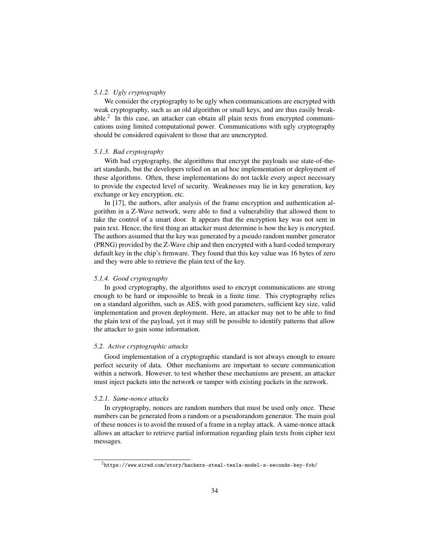## *5.1.2. Ugly cryptography*

We consider the cryptography to be ugly when communications are encrypted with weak cryptography, such as an old algorithm or small keys, and are thus easily breakable. $<sup>2</sup>$  In this case, an attacker can obtain all plain texts from encrypted communi-</sup> cations using limited computational power. Communications with ugly cryptography should be considered equivalent to those that are unencrypted.

## *5.1.3. Bad cryptography*

With bad cryptography, the algorithms that encrypt the payloads use state-of-theart standards, but the developers relied on an ad hoc implementation or deployment of these algorithms. Often, these implementations do not tackle every aspect necessary to provide the expected level of security. Weaknesses may lie in key generation, key exchange or key encryption, etc.

In [17], the authors, after analysis of the frame encryption and authentication algorithm in a Z-Wave network, were able to find a vulnerability that allowed them to take the control of a smart door. It appears that the encryption key was not sent in pain text. Hence, the first thing an attacker must determine is how the key is encrypted. The authors assumed that the key was generated by a pseudo random number generator (PRNG) provided by the Z-Wave chip and then encrypted with a hard-coded temporary default key in the chip's firmware. They found that this key value was 16 bytes of zero and they were able to retrieve the plain text of the key.

## *5.1.4. Good cryptography*

In good cryptography, the algorithms used to encrypt communications are strong enough to be hard or impossible to break in a finite time. This cryptography relies on a standard algorithm, such as AES, with good parameters, sufficient key size, valid implementation and proven deployment. Here, an attacker may not to be able to find the plain text of the payload, yet it may still be possible to identify patterns that allow the attacker to gain some information.

## *5.2. Active cryptographic attacks*

Good implementation of a cryptographic standard is not always enough to ensure perfect security of data. Other mechanisms are important to secure communication within a network. However, to test whether these mechanisms are present, an attacker must inject packets into the network or tamper with existing packets in the network.

## *5.2.1. Same-nonce attacks*

In cryptography, nonces are random numbers that must be used only once. These numbers can be generated from a random or a pseudorandom generator. The main goal of these nonces is to avoid the reused of a frame in a replay attack. A same-nonce attack allows an attacker to retrieve partial information regarding plain texts from cipher text messages.

<sup>2</sup>https://www.wired.com/story/hackers-steal-tesla-model-s-seconds-key-fob/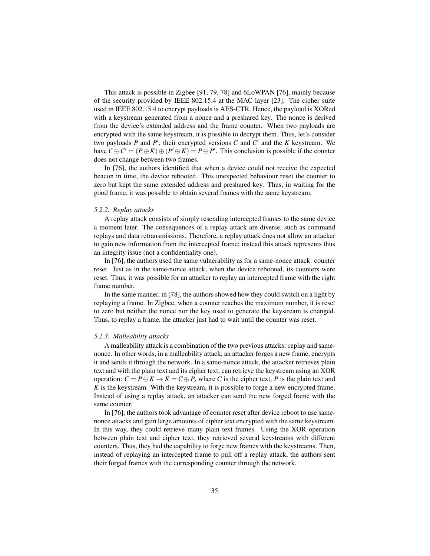This attack is possible in Zigbee [91, 79, 78] and 6LoWPAN [76], mainly because of the security provided by IEEE 802.15.4 at the MAC layer [23]. The cipher suite used in IEEE 802.15.4 to encrypt payloads is AES-CTR. Hence, the payload is XORed with a keystream generated from a nonce and a preshared key. The nonce is derived from the device's extended address and the frame counter. When two payloads are encrypted with the same keystream, it is possible to decrypt them. Thus, let's consider two payloads  $P$  and  $P'$ , their encrypted versions  $C$  and  $C'$  and the  $K$  keystream. We have  $C \oplus C' = (P \oplus K) \oplus (P' \oplus K) = P \oplus P'$ . This conclusion is possible if the counter does not change between two frames.

In [76], the authors identified that when a device could not receive the expected beacon in time, the device rebooted. This unexpected behaviour reset the counter to zero but kept the same extended address and preshared key. Thus, in waiting for the good frame, it was possible to obtain several frames with the same keystream.

## *5.2.2. Replay attacks*

A replay attack consists of simply resending intercepted frames to the same device a moment later. The consequences of a replay attack are diverse, such as command replays and data retransmissions. Therefore, a replay attack does not allow an attacker to gain new information from the intercepted frame; instead this attack represents thus an integrity issue (not a confidentiality one).

In [76], the authors used the same vulnerability as for a same-nonce attack: counter reset. Just as in the same-nonce attack, when the device rebooted, its counters were reset. Thus, it was possible for an attacker to replay an intercepted frame with the right frame number.

In the same manner, in [78], the authors showed how they could switch on a light by replaying a frame. In Zigbee, when a counter reaches the maximum number, it is reset to zero but neither the nonce nor the key used to generate the keystream is changed. Thus, to replay a frame, the attacker just had to wait until the counter was reset.

## *5.2.3. Malleability attacks*

A malleability attack is a combination of the two previous attacks: replay and samenonce. In other words, in a malleability attack, an attacker forges a new frame, encrypts it and sends it through the network. In a same-nonce attack, the attacker retrieves plain text and with the plain text and its cipher text, can retrieve the keystream using an XOR operation:  $C = P \oplus K \rightarrow K = C \oplus P$ , where *C* is the cipher text, *P* is the plain text and *K* is the keystream. With the keystream, it is possible to forge a new encrypted frame. Instead of using a replay attack, an attacker can send the new forged frame with the same counter.

In [76], the authors took advantage of counter reset after device reboot to use samenonce attacks and gain large amounts of cipher text encrypted with the same keystream. In this way, they could retrieve many plain text frames. Using the XOR operation between plain text and cipher text, they retrieved several keystreams with different counters. Thus, they had the capability to forge new frames with the keystreams. Then, instead of replaying an intercepted frame to pull off a replay attack, the authors sent their forged frames with the corresponding counter through the network.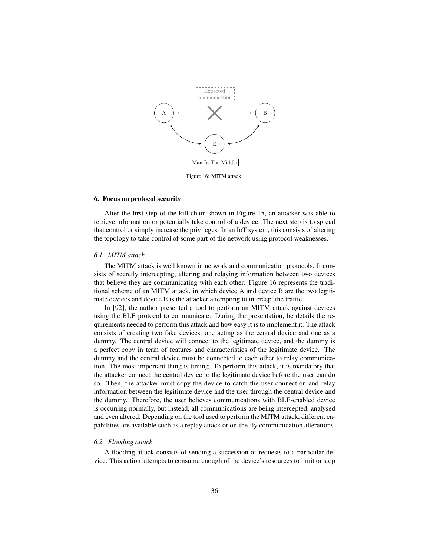

Figure 16: MITM attack.

## 6. Focus on protocol security

After the first step of the kill chain shown in Figure 15, an attacker was able to retrieve information or potentially take control of a device. The next step is to spread that control or simply increase the privileges. In an IoT system, this consists of altering the topology to take control of some part of the network using protocol weaknesses.

## *6.1. MITM attack*

The MITM attack is well known in network and communication protocols. It consists of secretly intercepting, altering and relaying information between two devices that believe they are communicating with each other. Figure 16 represents the traditional scheme of an MITM attack, in which device A and device B are the two legitimate devices and device E is the attacker attempting to intercept the traffic.

In [92], the author presented a tool to perform an MITM attack against devices using the BLE protocol to communicate. During the presentation, he details the requirements needed to perform this attack and how easy it is to implement it. The attack consists of creating two fake devices, one acting as the central device and one as a dummy. The central device will connect to the legitimate device, and the dummy is a perfect copy in term of features and characteristics of the legitimate device. The dummy and the central device must be connected to each other to relay communication. The most important thing is timing. To perform this attack, it is mandatory that the attacker connect the central device to the legitimate device before the user can do so. Then, the attacker must copy the device to catch the user connection and relay information between the legitimate device and the user through the central device and the dummy. Therefore, the user believes communications with BLE-enabled device is occurring normally, but instead, all communications are being intercepted, analysed and even altered. Depending on the tool used to perform the MITM attack, different capabilities are available such as a replay attack or on-the-fly communication alterations.

## *6.2. Flooding attack*

A flooding attack consists of sending a succession of requests to a particular device. This action attempts to consume enough of the device's resources to limit or stop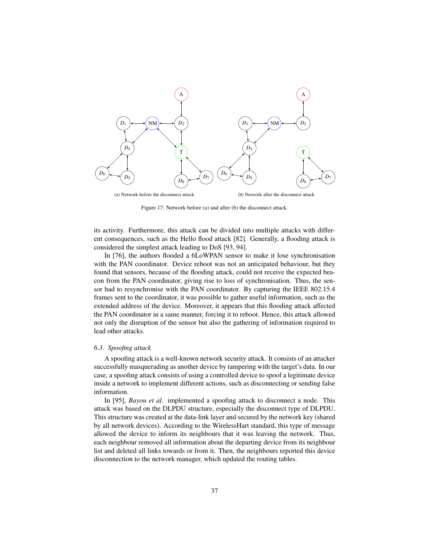

Figure 17: Network before (a) and after (b) the disconnect attack.

its activity. Furthermore, this attack can be divided into multiple attacks with different consequences, such as the Hello flood attack [82]. Generally, a flooding attack is considered the simplest attack leading to DoS [93, 94].

In [76], the authors flooded a 6LoWPAN sensor to make it lose synchronisation with the PAN coordinator. Device reboot was not an anticipated behaviour, but they found that sensors, because of the flooding attack, could not receive the expected beacon from the PAN coordinator, giving rise to loss of synchronisation. Thus, the sensor had to resynchronise with the PAN coordinator. By capturing the IEEE 802.15.4 frames sent to the coordinator, it was possible to gather useful information, such as the extended address of the device. Moreover, it appears that this flooding attack affected the PAN coordinator in a same manner, forcing it to reboot. Hence, this attack allowed not only the disruption of the sensor but also the gathering of information required to lead other attacks.

## *6.3. Spoofing attack*

A spoofing attack is a well-known network security attack. It consists of an attacker successfully masquerading as another device by tampering with the target's data. In our case, a spoofing attack consists of using a controlled device to spoof a legitimate device inside a network to implement different actions, such as disconnecting or sending false information.

In [95], *Bayou et al.* implemented a spoofing attack to disconnect a node. This attack was based on the DLPDU structure, especially the disconnect type of DLPDU. This structure was created at the data-link layer and secured by the network key (shared by all network devices). According to the WirelessHart standard, this type of message allowed the device to inform its neighbours that it was leaving the network. Thus, each neighbour removed all information about the departing device from its neighbour list and deleted all links towards or from it. Then, the neighbours reported this device disconnection to the network manager, which updated the routing tables.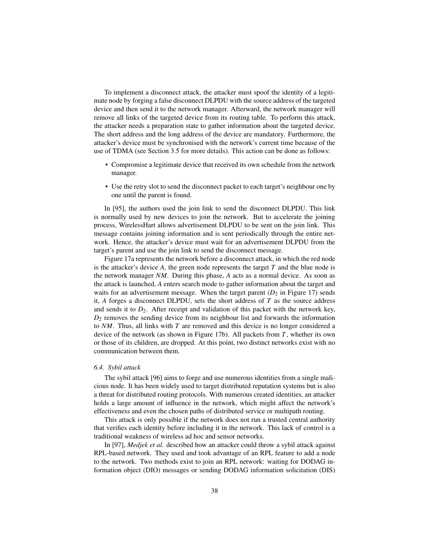To implement a disconnect attack, the attacker must spoof the identity of a legitimate node by forging a false disconnect DLPDU with the source address of the targeted device and then send it to the network manager. Afterward, the network manager will remove all links of the targeted device from its routing table. To perform this attack, the attacker needs a preparation state to gather information about the targeted device. The short address and the long address of the device are mandatory. Furthermore, the attacker's device must be synchronised with the network's current time because of the use of TDMA (see Section 3.5 for more details). This action can be done as follows:

- Compromise a legitimate device that received its own schedule from the network manager.
- Use the retry slot to send the disconnect packet to each target's neighbour one by one until the parent is found.

In [95], the authors used the join link to send the disconnect DLPDU. This link is normally used by new devices to join the network. But to accelerate the joining process, WirelessHart allows advertisement DLPDU to be sent on the join link. This message contains joining information and is sent periodically through the entire network. Hence, the attacker's device must wait for an advertisement DLPDU from the target's parent and use the join link to send the disconnect message.

Figure 17a represents the network before a disconnect attack, in which the red node is the attacker's device  $A$ , the green node represents the target  $T$  and the blue node is the network manager *NM*. During this phase, *A* acts as a normal device. As soon as the attack is launched, *A* enters search mode to gather information about the target and waits for an advertisement message. When the target parent  $(D_2$  in Figure 17) sends it, *A* forges a disconnect DLPDU, sets the short address of *T* as the source address and sends it to  $D_2$ . After receipt and validation of this packet with the network key, *D*<sup>2</sup> removes the sending device from its neighbour list and forwards the information to *NM*. Thus, all links with *T* are removed and this device is no longer considered a device of the network (as shown in Figure 17b). All packets from *T*, whether its own or those of its children, are dropped. At this point, two distinct networks exist with no communication between them.

## *6.4. Sybil attack*

The sybil attack [96] aims to forge and use numerous identities from a single malicious node. It has been widely used to target distributed reputation systems but is also a threat for distributed routing protocols. With numerous created identities, an attacker holds a large amount of influence in the network, which might affect the network's effectiveness and even the chosen paths of distributed service or multipath routing.

This attack is only possible if the network does not run a trusted central authority that verifies each identity before including it in the network. This lack of control is a traditional weakness of wireless ad hoc and sensor networks.

In [97], *Medjek et al.* described how an attacker could throw a sybil attack against RPL-based network. They used and took advantage of an RPL feature to add a node to the network. Two methods exist to join an RPL network: waiting for DODAG information object (DIO) messages or sending DODAG information solicitation (DIS)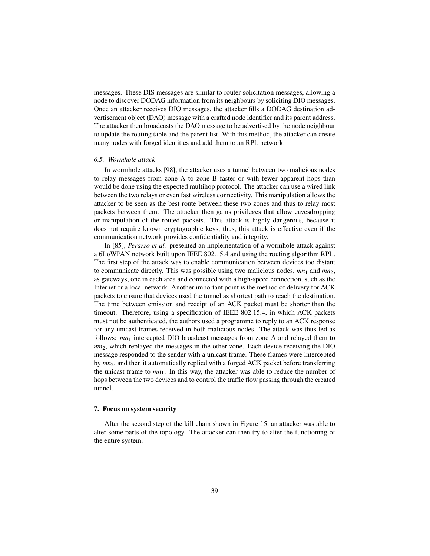messages. These DIS messages are similar to router solicitation messages, allowing a node to discover DODAG information from its neighbours by soliciting DIO messages. Once an attacker receives DIO messages, the attacker fills a DODAG destination advertisement object (DAO) message with a crafted node identifier and its parent address. The attacker then broadcasts the DAO message to be advertised by the node neighbour to update the routing table and the parent list. With this method, the attacker can create many nodes with forged identities and add them to an RPL network.

## *6.5. Wormhole attack*

In wormhole attacks [98], the attacker uses a tunnel between two malicious nodes to relay messages from zone A to zone B faster or with fewer apparent hops than would be done using the expected multihop protocol. The attacker can use a wired link between the two relays or even fast wireless connectivity. This manipulation allows the attacker to be seen as the best route between these two zones and thus to relay most packets between them. The attacker then gains privileges that allow eavesdropping or manipulation of the routed packets. This attack is highly dangerous, because it does not require known cryptographic keys, thus, this attack is effective even if the communication network provides confidentiality and integrity.

In [85], *Perazzo et al.* presented an implementation of a wormhole attack against a 6LoWPAN network built upon IEEE 802.15.4 and using the routing algorithm RPL. The first step of the attack was to enable communication between devices too distant to communicate directly. This was possible using two malicious nodes,  $mn_1$  and  $mn_2$ , as gateways, one in each area and connected with a high-speed connection, such as the Internet or a local network. Another important point is the method of delivery for ACK packets to ensure that devices used the tunnel as shortest path to reach the destination. The time between emission and receipt of an ACK packet must be shorter than the timeout. Therefore, using a specification of IEEE 802.15.4, in which ACK packets must not be authenticated, the authors used a programme to reply to an ACK response for any unicast frames received in both malicious nodes. The attack was thus led as follows:  $mn_1$  intercepted DIO broadcast messages from zone A and relayed them to *mn*2, which replayed the messages in the other zone. Each device receiving the DIO message responded to the sender with a unicast frame. These frames were intercepted by *mn*2, and then it automatically replied with a forged ACK packet before transferring the unicast frame to  $mn_1$ . In this way, the attacker was able to reduce the number of hops between the two devices and to control the traffic flow passing through the created tunnel.

## 7. Focus on system security

After the second step of the kill chain shown in Figure 15, an attacker was able to alter some parts of the topology. The attacker can then try to alter the functioning of the entire system.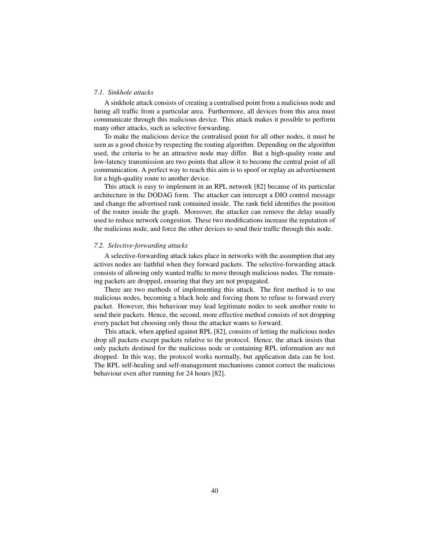## *7.1. Sinkhole attacks*

A sinkhole attack consists of creating a centralised point from a malicious node and luring all traffic from a particular area. Furthermore, all devices from this area must communicate through this malicious device. This attack makes it possible to perform many other attacks, such as selective forwarding.

To make the malicious device the centralised point for all other nodes, it must be seen as a good choice by respecting the routing algorithm. Depending on the algorithm used, the criteria to be an attractive node may differ. But a high-quality route and low-latency transmission are two points that allow it to become the central point of all communication. A perfect way to reach this aim is to spoof or replay an advertisement for a high-quality route to another device.

This attack is easy to implement in an RPL network [82] because of its particular architecture in the DODAG form. The attacker can intercept a DIO control message and change the advertised rank contained inside. The rank field identifies the position of the router inside the graph. Moreover, the attacker can remove the delay usually used to reduce network congestion. These two modifications increase the reputation of the malicious node, and force the other devices to send their traffic through this node.

## *7.2. Selective-forwarding attacks*

A selective-forwarding attack takes place in networks with the assumption that any actives nodes are faithful when they forward packets. The selective-forwarding attack consists of allowing only wanted traffic to move through malicious nodes. The remaining packets are dropped, ensuring that they are not propagated.

There are two methods of implementing this attack. The first method is to use malicious nodes, becoming a black hole and forcing them to refuse to forward every packet. However, this behaviour may lead legitimate nodes to seek another route to send their packets. Hence, the second, more effective method consists of not dropping every packet but choosing only those the attacker wants to forward.

This attack, when applied against RPL [82], consists of letting the malicious nodes drop all packets except packets relative to the protocol. Hence, the attack insists that only packets destined for the malicious node or containing RPL information are not dropped. In this way, the protocol works normally, but application data can be lost. The RPL self-healing and self-management mechanisms cannot correct the malicious behaviour even after running for 24 hours [82].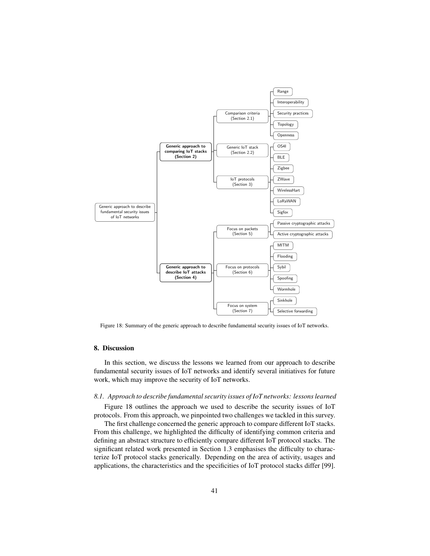

Figure 18: Summary of the generic approach to describe fundamental security issues of IoT networks.

## 8. Discussion

In this section, we discuss the lessons we learned from our approach to describe fundamental security issues of IoT networks and identify several initiatives for future work, which may improve the security of IoT networks.

## *8.1. Approach to describe fundamental security issues of IoT networks: lessons learned*

Figure 18 outlines the approach we used to describe the security issues of IoT protocols. From this approach, we pinpointed two challenges we tackled in this survey.

The first challenge concerned the generic approach to compare different IoT stacks. From this challenge, we highlighted the difficulty of identifying common criteria and defining an abstract structure to efficiently compare different IoT protocol stacks. The significant related work presented in Section 1.3 emphasises the difficulty to characterize IoT protocol stacks generically. Depending on the area of activity, usages and applications, the characteristics and the specificities of IoT protocol stacks differ [99].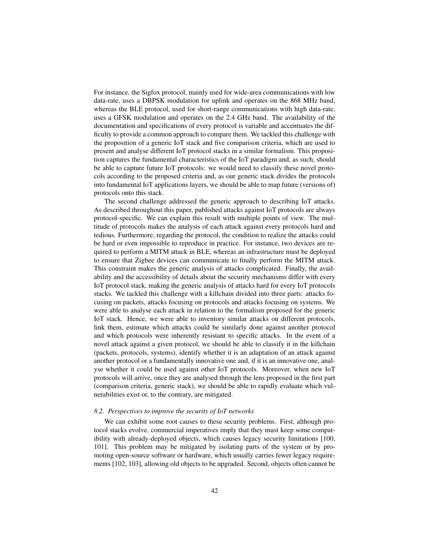For instance, the Sigfox protocol, mainly used for wide-area communications with low data-rate, uses a DBPSK modulation for uplink and operates on the 868 MHz band, whereas the BLE protocol, used for short-range communications with high data-rate, uses a GFSK modulation and operates on the 2.4 GHz band. The availability of the documentation and specifications of every protocol is variable and accentuates the difficulty to provide a common approach to compare them. We tackled this challenge with the proposition of a generic IoT stack and five comparison criteria, which are used to present and analyse different IoT protocol stacks in a similar formalism. This proposition captures the fundamental characteristics of the IoT paradigm and, as such, should be able to capture future IoT protocols: we would need to classify these novel protocols according to the proposed criteria and, as our generic stack divides the protocols into fundamental IoT applications layers, we should be able to map future (versions of) protocols onto this stack.

The second challenge addressed the generic approach to describing IoT attacks. As described throughout this paper, published attacks against IoT protocols are always protocol-specific. We can explain this result with multiple points of view. The multitude of protocols makes the analysis of each attack against every protocols hard and tedious. Furthermore, regarding the protocol, the condition to realize the attacks could be hard or even impossible to reproduce in practice. For instance, two devices are required to perform a MITM attack in BLE, whereas an infrastructure must be deployed to ensure that Zigbee devices can communicate to finally perform the MITM attack. This constraint makes the generic analysis of attacks complicated. Finally, the availability and the accessibility of details about the security mechanisms differ with every IoT protocol stack, making the generic analysis of attacks hard for every IoT protocols stacks. We tackled this challenge with a killchain divided into three parts: attacks focusing on packets, attacks focusing on protocols and attacks focusing on systems. We were able to analyse each attack in relation to the formalism proposed for the generic IoT stack. Hence, we were able to inventory similar attacks on different protocols, link them, estimate which attacks could be similarly done against another protocol and which protocols were inherently resistant to specific attacks. In the event of a novel attack against a given protocol, we should be able to classify it in the killchain (packets, protocols, systems), identify whether it is an adaptation of an attack against another protocol or a fundamentally innovative one and, if it is an innovative one, analyse whether it could be used against other IoT protocols. Moreover, when new IoT protocols will arrive, once they are analysed through the lens proposed in the first part (comparison criteria, generic stack), we should be able to rapidly evaluate which vulnerabilities exist or, to the contrary, are mitigated.

## *8.2. Perspectives to improve the security of IoT networks*

We can exhibit some root causes to these security problems. First, although protocol stacks evolve, commercial imperatives imply that they must keep some compatibility with already-deployed objects, which causes legacy security limitations [100, 101]. This problem may be mitigated by isolating parts of the system or by promoting open-source software or hardware, which usually carries fewer legacy requirements [102, 103], allowing old objects to be upgraded. Second, objects often cannot be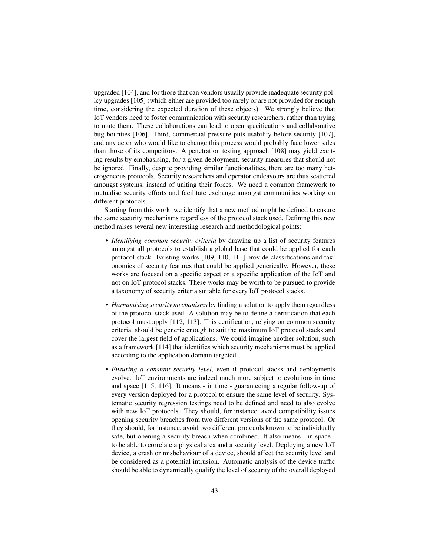upgraded [104], and for those that can vendors usually provide inadequate security policy upgrades [105] (which either are provided too rarely or are not provided for enough time, considering the expected duration of these objects). We strongly believe that IoT vendors need to foster communication with security researchers, rather than trying to mute them. These collaborations can lead to open specifications and collaborative bug bounties [106]. Third, commercial pressure puts usability before security [107], and any actor who would like to change this process would probably face lower sales than those of its competitors. A penetration testing approach [108] may yield exciting results by emphasising, for a given deployment, security measures that should not be ignored. Finally, despite providing similar functionalities, there are too many heterogeneous protocols. Security researchers and operator endeavours are thus scattered amongst systems, instead of uniting their forces. We need a common framework to mutualise security efforts and facilitate exchange amongst communities working on different protocols.

Starting from this work, we identify that a new method might be defined to ensure the same security mechanisms regardless of the protocol stack used. Defining this new method raises several new interesting research and methodological points:

- *Identifying common security criteria* by drawing up a list of security features amongst all protocols to establish a global base that could be applied for each protocol stack. Existing works [109, 110, 111] provide classifications and taxonomies of security features that could be applied generically. However, these works are focused on a specific aspect or a specific application of the IoT and not on IoT protocol stacks. These works may be worth to be pursued to provide a taxonomy of security criteria suitable for every IoT protocol stacks.
- *Harmonising security mechanisms* by finding a solution to apply them regardless of the protocol stack used. A solution may be to define a certification that each protocol must apply [112, 113]. This certification, relying on common security criteria, should be generic enough to suit the maximum IoT protocol stacks and cover the largest field of applications. We could imagine another solution, such as a framework [114] that identifies which security mechanisms must be applied according to the application domain targeted.
- *Ensuring a constant security level*, even if protocol stacks and deployments evolve. IoT environments are indeed much more subject to evolutions in time and space [115, 116]. It means - in time - guaranteeing a regular follow-up of every version deployed for a protocol to ensure the same level of security. Systematic security regression testings need to be defined and need to also evolve with new IoT protocols. They should, for instance, avoid compatibility issues opening security breaches from two different versions of the same protocol. Or they should, for instance, avoid two different protocols known to be individually safe, but opening a security breach when combined. It also means - in space to be able to correlate a physical area and a security level. Deploying a new IoT device, a crash or misbehaviour of a device, should affect the security level and be considered as a potential intrusion. Automatic analysis of the device traffic should be able to dynamically qualify the level of security of the overall deployed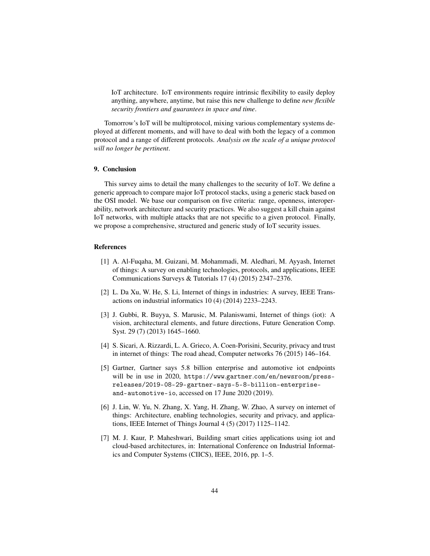IoT architecture. IoT environments require intrinsic flexibility to easily deploy anything, anywhere, anytime, but raise this new challenge to define *new flexible security frontiers and guarantees in space and time*.

Tomorrow's IoT will be multiprotocol, mixing various complementary systems deployed at different moments, and will have to deal with both the legacy of a common protocol and a range of different protocols. *Analysis on the scale of a unique protocol will no longer be pertinent*.

## 9. Conclusion

This survey aims to detail the many challenges to the security of IoT. We define a generic approach to compare major IoT protocol stacks, using a generic stack based on the OSI model. We base our comparison on five criteria: range, openness, interoperability, network architecture and security practices. We also suggest a kill chain against IoT networks, with multiple attacks that are not specific to a given protocol. Finally, we propose a comprehensive, structured and generic study of IoT security issues.

## References

- [1] A. Al-Fuqaha, M. Guizani, M. Mohammadi, M. Aledhari, M. Ayyash, Internet of things: A survey on enabling technologies, protocols, and applications, IEEE Communications Surveys & Tutorials 17 (4) (2015) 2347–2376.
- [2] L. Da Xu, W. He, S. Li, Internet of things in industries: A survey, IEEE Transactions on industrial informatics 10 (4) (2014) 2233–2243.
- [3] J. Gubbi, R. Buyya, S. Marusic, M. Palaniswami, Internet of things (iot): A vision, architectural elements, and future directions, Future Generation Comp. Syst. 29 (7) (2013) 1645–1660.
- [4] S. Sicari, A. Rizzardi, L. A. Grieco, A. Coen-Porisini, Security, privacy and trust in internet of things: The road ahead, Computer networks 76 (2015) 146–164.
- [5] Gartner, Gartner says 5.8 billion enterprise and automotive iot endpoints will be in use in 2020, https://www.gartner.com/en/newsroom/pressreleases/2019-08-29-gartner-says-5-8-billion-enterpriseand-automotive-io, accessed on 17 June 2020 (2019).
- [6] J. Lin, W. Yu, N. Zhang, X. Yang, H. Zhang, W. Zhao, A survey on internet of things: Architecture, enabling technologies, security and privacy, and applications, IEEE Internet of Things Journal 4 (5) (2017) 1125–1142.
- [7] M. J. Kaur, P. Maheshwari, Building smart cities applications using iot and cloud-based architectures, in: International Conference on Industrial Informatics and Computer Systems (CIICS), IEEE, 2016, pp. 1–5.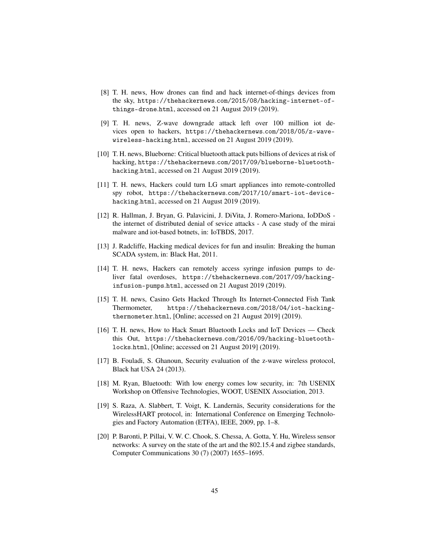- [8] T. H. news, How drones can find and hack internet-of-things devices from the sky, https://thehackernews.com/2015/08/hacking-internet-ofthings-drone.html, accessed on 21 August 2019 (2019).
- [9] T. H. news, Z-wave downgrade attack left over 100 million iot devices open to hackers, https://thehackernews.com/2018/05/z-wavewireless-hacking.html, accessed on 21 August 2019 (2019).
- [10] T. H. news, Blueborne: Critical bluetooth attack puts billions of devices at risk of hacking, https://thehackernews.com/2017/09/blueborne-bluetoothhacking.html, accessed on 21 August 2019 (2019).
- [11] T. H. news, Hackers could turn LG smart appliances into remote-controlled spy robot, https://thehackernews.com/2017/10/smart-iot-devicehacking.html, accessed on 21 August 2019 (2019).
- [12] R. Hallman, J. Bryan, G. Palavicini, J. DiVita, J. Romero-Mariona, IoDDoS the internet of distributed denial of sevice attacks - A case study of the mirai malware and iot-based botnets, in: IoTBDS, 2017.
- [13] J. Radcliffe, Hacking medical devices for fun and insulin: Breaking the human SCADA system, in: Black Hat, 2011.
- [14] T. H. news, Hackers can remotely access syringe infusion pumps to deliver fatal overdoses, https://thehackernews.com/2017/09/hackinginfusion-pumps.html, accessed on 21 August 2019 (2019).
- [15] T. H. news, Casino Gets Hacked Through Its Internet-Connected Fish Tank Thermometer, https://thehackernews.com/2018/04/iot-hackingthermometer.html, [Online; accessed on 21 August 2019] (2019).
- [16] T. H. news, How to Hack Smart Bluetooth Locks and IoT Devices Check this Out, https://thehackernews.com/2016/09/hacking-bluetoothlocks.html, [Online; accessed on 21 August 2019] (2019).
- [17] B. Fouladi, S. Ghanoun, Security evaluation of the z-wave wireless protocol, Black hat USA 24 (2013).
- [18] M. Ryan, Bluetooth: With low energy comes low security, in: 7th USENIX Workshop on Offensive Technologies, WOOT, USENIX Association, 2013.
- [19] S. Raza, A. Slabbert, T. Voigt, K. Landernäs, Security considerations for the WirelessHART protocol, in: International Conference on Emerging Technologies and Factory Automation (ETFA), IEEE, 2009, pp. 1–8.
- [20] P. Baronti, P. Pillai, V. W. C. Chook, S. Chessa, A. Gotta, Y. Hu, Wireless sensor networks: A survey on the state of the art and the 802.15.4 and zigbee standards, Computer Communications 30 (7) (2007) 1655–1695.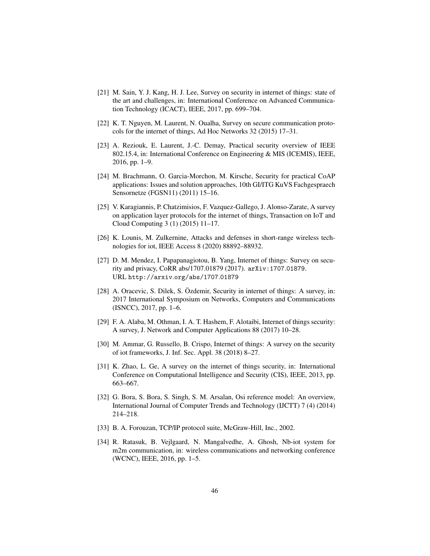- [21] M. Sain, Y. J. Kang, H. J. Lee, Survey on security in internet of things: state of the art and challenges, in: International Conference on Advanced Communication Technology (ICACT), IEEE, 2017, pp. 699–704.
- [22] K. T. Nguyen, M. Laurent, N. Oualha, Survey on secure communication protocols for the internet of things, Ad Hoc Networks 32 (2015) 17–31.
- [23] A. Reziouk, E. Laurent, J.-C. Demay, Practical security overview of IEEE 802.15.4, in: International Conference on Engineering & MIS (ICEMIS), IEEE, 2016, pp. 1–9.
- [24] M. Brachmann, O. Garcia-Morchon, M. Kirsche, Security for practical CoAP applications: Issues and solution approaches, 10th GI/ITG KuVS Fachgespraech Sensornetze (FGSN11) (2011) 15–16.
- [25] V. Karagiannis, P. Chatzimisios, F. Vazquez-Gallego, J. Alonso-Zarate, A survey on application layer protocols for the internet of things, Transaction on IoT and Cloud Computing 3 (1) (2015) 11–17.
- [26] K. Lounis, M. Zulkernine, Attacks and defenses in short-range wireless technologies for iot, IEEE Access 8 (2020) 88892–88932.
- [27] D. M. Mendez, I. Papapanagiotou, B. Yang, Internet of things: Survey on security and privacy, CoRR abs/1707.01879 (2017). arXiv:1707.01879. URL http://arxiv.org/abs/1707.01879
- [28] A. Oracevic, S. Dilek, S. Özdemir, Security in internet of things: A survey, in: 2017 International Symposium on Networks, Computers and Communications (ISNCC), 2017, pp. 1–6.
- [29] F. A. Alaba, M. Othman, I. A. T. Hashem, F. Alotaibi, Internet of things security: A survey, J. Network and Computer Applications 88 (2017) 10–28.
- [30] M. Ammar, G. Russello, B. Crispo, Internet of things: A survey on the security of iot frameworks, J. Inf. Sec. Appl. 38 (2018) 8–27.
- [31] K. Zhao, L. Ge, A survey on the internet of things security, in: International Conference on Computational Intelligence and Security (CIS), IEEE, 2013, pp. 663–667.
- [32] G. Bora, S. Bora, S. Singh, S. M. Arsalan, Osi reference model: An overview, International Journal of Computer Trends and Technology (IJCTT) 7 (4) (2014) 214–218.
- [33] B. A. Forouzan, TCP/IP protocol suite, McGraw-Hill, Inc., 2002.
- [34] R. Ratasuk, B. Vejlgaard, N. Mangalvedhe, A. Ghosh, Nb-iot system for m2m communication, in: wireless communications and networking conference (WCNC), IEEE, 2016, pp. 1–5.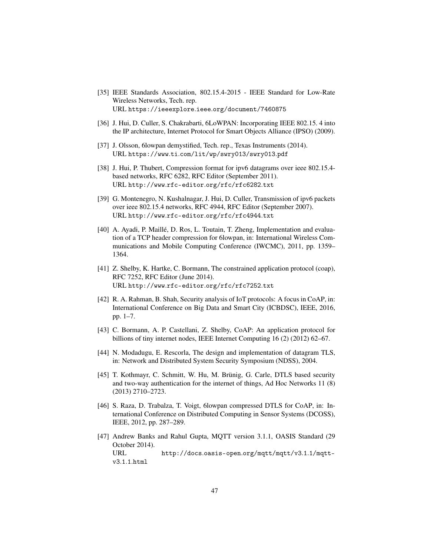- [35] IEEE Standards Association, 802.15.4-2015 IEEE Standard for Low-Rate Wireless Networks, Tech. rep. URL https://ieeexplore.ieee.org/document/7460875
- [36] J. Hui, D. Culler, S. Chakrabarti, 6LoWPAN: Incorporating IEEE 802.15. 4 into the IP architecture, Internet Protocol for Smart Objects Alliance (IPSO) (2009).
- [37] J. Olsson, 6lowpan demystified, Tech. rep., Texas Instruments (2014). URL https://www.ti.com/lit/wp/swry013/swry013.pdf
- [38] J. Hui, P. Thubert, Compression format for ipv6 datagrams over ieee 802.15.4 based networks, RFC 6282, RFC Editor (September 2011). URL http://www.rfc-editor.org/rfc/rfc6282.txt
- [39] G. Montenegro, N. Kushalnagar, J. Hui, D. Culler, Transmission of ipv6 packets over ieee 802.15.4 networks, RFC 4944, RFC Editor (September 2007). URL http://www.rfc-editor.org/rfc/rfc4944.txt
- [40] A. Ayadi, P. Maillé, D. Ros, L. Toutain, T. Zheng, Implementation and evaluation of a TCP header compression for 6lowpan, in: International Wireless Communications and Mobile Computing Conference (IWCMC), 2011, pp. 1359– 1364.
- [41] Z. Shelby, K. Hartke, C. Bormann, The constrained application protocol (coap), RFC 7252, RFC Editor (June 2014). URL http://www.rfc-editor.org/rfc/rfc7252.txt
- [42] R. A. Rahman, B. Shah, Security analysis of IoT protocols: A focus in CoAP, in: International Conference on Big Data and Smart City (ICBDSC), IEEE, 2016, pp. 1–7.
- [43] C. Bormann, A. P. Castellani, Z. Shelby, CoAP: An application protocol for billions of tiny internet nodes, IEEE Internet Computing 16 (2) (2012) 62–67.
- [44] N. Modadugu, E. Rescorla, The design and implementation of datagram TLS, in: Network and Distributed System Security Symposium (NDSS), 2004.
- [45] T. Kothmayr, C. Schmitt, W. Hu, M. Brünig, G. Carle, DTLS based security and two-way authentication for the internet of things, Ad Hoc Networks 11 (8) (2013) 2710–2723.
- [46] S. Raza, D. Trabalza, T. Voigt, 6lowpan compressed DTLS for CoAP, in: International Conference on Distributed Computing in Sensor Systems (DCOSS), IEEE, 2012, pp. 287–289.
- [47] Andrew Banks and Rahul Gupta, MQTT version 3.1.1, OASIS Standard (29 October 2014). URL http://docs.oasis-open.org/mqtt/mqtt/v3.1.1/mqttv3.1.1.html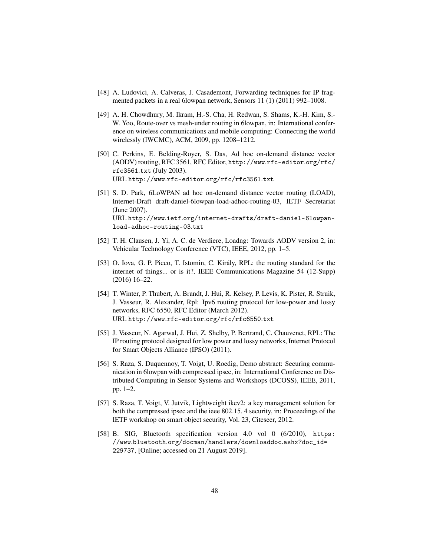- [48] A. Ludovici, A. Calveras, J. Casademont, Forwarding techniques for IP fragmented packets in a real 6lowpan network, Sensors 11 (1) (2011) 992–1008.
- [49] A. H. Chowdhury, M. Ikram, H.-S. Cha, H. Redwan, S. Shams, K.-H. Kim, S.- W. Yoo, Route-over vs mesh-under routing in 6lowpan, in: International conference on wireless communications and mobile computing: Connecting the world wirelessly (IWCMC), ACM, 2009, pp. 1208–1212.
- [50] C. Perkins, E. Belding-Royer, S. Das, Ad hoc on-demand distance vector (AODV) routing, RFC 3561, RFC Editor, http://www.rfc-editor.org/rfc/ rfc3561.txt (July 2003). URL http://www.rfc-editor.org/rfc/rfc3561.txt
- [51] S. D. Park, 6LoWPAN ad hoc on-demand distance vector routing (LOAD), Internet-Draft draft-daniel-6lowpan-load-adhoc-routing-03, IETF Secretariat (June 2007). URL http://www.ietf.org/internet-drafts/draft-daniel-6lowpanload-adhoc-routing-03.txt
- [52] T. H. Clausen, J. Yi, A. C. de Verdiere, Loadng: Towards AODV version 2, in: Vehicular Technology Conference (VTC), IEEE, 2012, pp. 1–5.
- [53] O. Iova, G. P. Picco, T. Istomin, C. Király, RPL: the routing standard for the internet of things... or is it?, IEEE Communications Magazine 54 (12-Supp) (2016) 16–22.
- [54] T. Winter, P. Thubert, A. Brandt, J. Hui, R. Kelsey, P. Levis, K. Pister, R. Struik, J. Vasseur, R. Alexander, Rpl: Ipv6 routing protocol for low-power and lossy networks, RFC 6550, RFC Editor (March 2012). URL http://www.rfc-editor.org/rfc/rfc6550.txt
- [55] J. Vasseur, N. Agarwal, J. Hui, Z. Shelby, P. Bertrand, C. Chauvenet, RPL: The IP routing protocol designed for low power and lossy networks, Internet Protocol for Smart Objects Alliance (IPSO) (2011).
- [56] S. Raza, S. Duquennoy, T. Voigt, U. Roedig, Demo abstract: Securing communication in 6lowpan with compressed ipsec, in: International Conference on Distributed Computing in Sensor Systems and Workshops (DCOSS), IEEE, 2011, pp. 1–2.
- [57] S. Raza, T. Voigt, V. Jutvik, Lightweight ikev2: a key management solution for both the compressed ipsec and the ieee 802.15. 4 security, in: Proceedings of the IETF workshop on smart object security, Vol. 23, Citeseer, 2012.
- [58] B. SIG, Bluetooth specification version 4.0 vol 0 (6/2010), https: //www.bluetooth.org/docman/handlers/downloaddoc.ashx?doc\_id= 229737, [Online; accessed on 21 August 2019].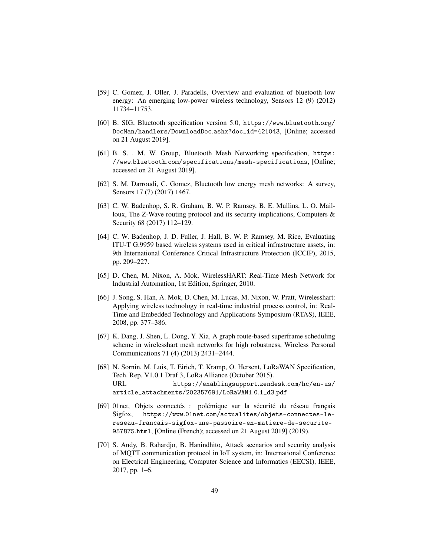- [59] C. Gomez, J. Oller, J. Paradells, Overview and evaluation of bluetooth low energy: An emerging low-power wireless technology, Sensors 12 (9) (2012) 11734–11753.
- [60] B. SIG, Bluetooth specification version 5.0, https://www.bluetooth.org/ DocMan/handlers/DownloadDoc.ashx?doc\_id=421043, [Online; accessed on 21 August 2019].
- [61] B. S. . M. W. Group, Bluetooth Mesh Networking specification, https: //www.bluetooth.com/specifications/mesh-specifications, [Online; accessed on 21 August 2019].
- [62] S. M. Darroudi, C. Gomez, Bluetooth low energy mesh networks: A survey, Sensors 17 (7) (2017) 1467.
- [63] C. W. Badenhop, S. R. Graham, B. W. P. Ramsey, B. E. Mullins, L. O. Mailloux, The Z-Wave routing protocol and its security implications, Computers & Security 68 (2017) 112–129.
- [64] C. W. Badenhop, J. D. Fuller, J. Hall, B. W. P. Ramsey, M. Rice, Evaluating ITU-T G.9959 based wireless systems used in critical infrastructure assets, in: 9th International Conference Critical Infrastructure Protection (ICCIP), 2015, pp. 209–227.
- [65] D. Chen, M. Nixon, A. Mok, WirelessHART: Real-Time Mesh Network for Industrial Automation, 1st Edition, Springer, 2010.
- [66] J. Song, S. Han, A. Mok, D. Chen, M. Lucas, M. Nixon, W. Pratt, Wirelesshart: Applying wireless technology in real-time industrial process control, in: Real-Time and Embedded Technology and Applications Symposium (RTAS), IEEE, 2008, pp. 377–386.
- [67] K. Dang, J. Shen, L. Dong, Y. Xia, A graph route-based superframe scheduling scheme in wirelesshart mesh networks for high robustness, Wireless Personal Communications 71 (4) (2013) 2431–2444.
- [68] N. Sornin, M. Luis, T. Eirich, T. Kramp, O. Hersent, LoRaWAN Specification, Tech. Rep. V1.0.1 Draf 3, LoRa Alliance (October 2015). URL https://enablingsupport.zendesk.com/hc/en-us/ article\_attachments/202357691/LoRaWAN1.0.1\_d3.pdf
- [69] 01net, Objets connectés : polémique sur la sécurité du réseau français Sigfox, https://www.01net.com/actualites/objets-connectes-lereseau-francais-sigfox-une-passoire-en-matiere-de-securite-957875.html, [Online (French); accessed on 21 August 2019] (2019).
- [70] S. Andy, B. Rahardjo, B. Hanindhito, Attack scenarios and security analysis of MQTT communication protocol in IoT system, in: International Conference on Electrical Engineering, Computer Science and Informatics (EECSI), IEEE, 2017, pp. 1–6.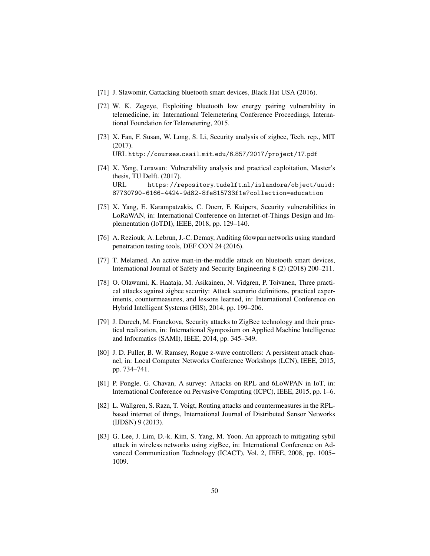- [71] J. Slawomir, Gattacking bluetooth smart devices, Black Hat USA (2016).
- [72] W. K. Zegeye, Exploiting bluetooth low energy pairing vulnerability in telemedicine, in: International Telemetering Conference Proceedings, International Foundation for Telemetering, 2015.
- [73] X. Fan, F. Susan, W. Long, S. Li, Security analysis of zigbee, Tech. rep., MIT (2017). URL http://courses.csail.mit.edu/6.857/2017/project/17.pdf
- [74] X. Yang, Lorawan: Vulnerability analysis and practical exploitation, Master's thesis, TU Delft. (2017). URL https://repository.tudelft.nl/islandora/object/uuid: 87730790-6166-4424-9d82-8fe815733f1e?collection=education
- [75] X. Yang, E. Karampatzakis, C. Doerr, F. Kuipers, Security vulnerabilities in LoRaWAN, in: International Conference on Internet-of-Things Design and Implementation (IoTDI), IEEE, 2018, pp. 129–140.
- [76] A. Reziouk, A. Lebrun, J.-C. Demay, Auditing 6lowpan networks using standard penetration testing tools, DEF CON 24 (2016).
- [77] T. Melamed, An active man-in-the-middle attack on bluetooth smart devices, International Journal of Safety and Security Engineering 8 (2) (2018) 200–211.
- [78] O. Olawumi, K. Haataja, M. Asikainen, N. Vidgren, P. Toivanen, Three practical attacks against zigbee security: Attack scenario definitions, practical experiments, countermeasures, and lessons learned, in: International Conference on Hybrid Intelligent Systems (HIS), 2014, pp. 199–206.
- [79] J. Durech, M. Franekova, Security attacks to ZigBee technology and their practical realization, in: International Symposium on Applied Machine Intelligence and Informatics (SAMI), IEEE, 2014, pp. 345–349.
- [80] J. D. Fuller, B. W. Ramsey, Rogue z-wave controllers: A persistent attack channel, in: Local Computer Networks Conference Workshops (LCN), IEEE, 2015, pp. 734–741.
- [81] P. Pongle, G. Chavan, A survey: Attacks on RPL and 6LoWPAN in IoT, in: International Conference on Pervasive Computing (ICPC), IEEE, 2015, pp. 1–6.
- [82] L. Wallgren, S. Raza, T. Voigt, Routing attacks and countermeasures in the RPLbased internet of things, International Journal of Distributed Sensor Networks (IJDSN) 9 (2013).
- [83] G. Lee, J. Lim, D.-k. Kim, S. Yang, M. Yoon, An approach to mitigating sybil attack in wireless networks using zigBee, in: International Conference on Advanced Communication Technology (ICACT), Vol. 2, IEEE, 2008, pp. 1005– 1009.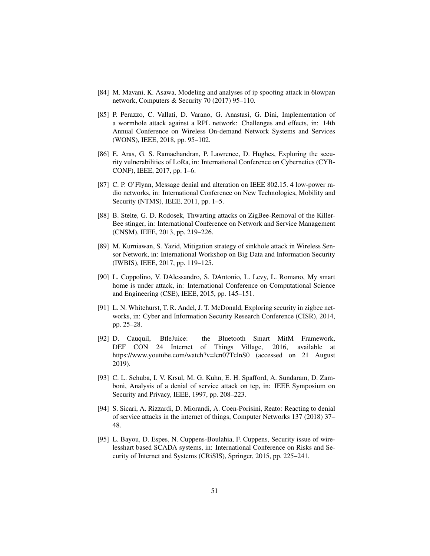- [84] M. Mavani, K. Asawa, Modeling and analyses of ip spoofing attack in 6lowpan network, Computers & Security 70 (2017) 95–110.
- [85] P. Perazzo, C. Vallati, D. Varano, G. Anastasi, G. Dini, Implementation of a wormhole attack against a RPL network: Challenges and effects, in: 14th Annual Conference on Wireless On-demand Network Systems and Services (WONS), IEEE, 2018, pp. 95–102.
- [86] E. Aras, G. S. Ramachandran, P. Lawrence, D. Hughes, Exploring the security vulnerabilities of LoRa, in: International Conference on Cybernetics (CYB-CONF), IEEE, 2017, pp. 1–6.
- [87] C. P. O'Flynn, Message denial and alteration on IEEE 802.15. 4 low-power radio networks, in: International Conference on New Technologies, Mobility and Security (NTMS), IEEE, 2011, pp. 1–5.
- [88] B. Stelte, G. D. Rodosek, Thwarting attacks on ZigBee-Removal of the Killer-Bee stinger, in: International Conference on Network and Service Management (CNSM), IEEE, 2013, pp. 219–226.
- [89] M. Kurniawan, S. Yazid, Mitigation strategy of sinkhole attack in Wireless Sensor Network, in: International Workshop on Big Data and Information Security (IWBIS), IEEE, 2017, pp. 119–125.
- [90] L. Coppolino, V. DAlessandro, S. DAntonio, L. Levy, L. Romano, My smart home is under attack, in: International Conference on Computational Science and Engineering (CSE), IEEE, 2015, pp. 145–151.
- [91] L. N. Whitehurst, T. R. Andel, J. T. McDonald, Exploring security in zigbee networks, in: Cyber and Information Security Research Conference (CISR), 2014, pp. 25–28.
- [92] D. Cauquil, BtleJuice: the Bluetooth Smart MitM Framework, DEF CON 24 Internet of Things Village, 2016, available at https://www.youtube.com/watch?v=lcn07TclnS0 (accessed on 21 August 2019).
- [93] C. L. Schuba, I. V. Krsul, M. G. Kuhn, E. H. Spafford, A. Sundaram, D. Zamboni, Analysis of a denial of service attack on tcp, in: IEEE Symposium on Security and Privacy, IEEE, 1997, pp. 208–223.
- [94] S. Sicari, A. Rizzardi, D. Miorandi, A. Coen-Porisini, Reato: Reacting to denial of service attacks in the internet of things, Computer Networks 137 (2018) 37– 48.
- [95] L. Bayou, D. Espes, N. Cuppens-Boulahia, F. Cuppens, Security issue of wirelesshart based SCADA systems, in: International Conference on Risks and Security of Internet and Systems (CRiSIS), Springer, 2015, pp. 225–241.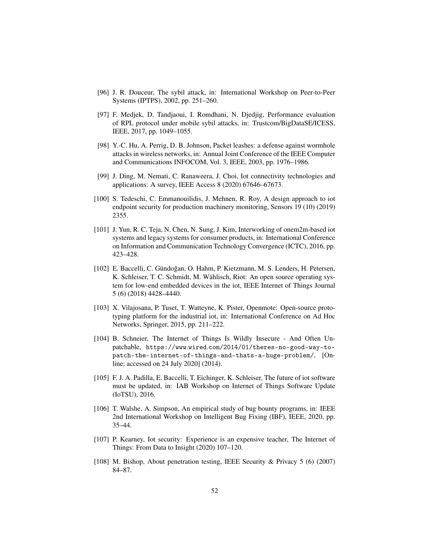- [96] J. R. Douceur, The sybil attack, in: International Workshop on Peer-to-Peer Systems (IPTPS), 2002, pp. 251–260.
- [97] F. Medjek, D. Tandjaoui, I. Romdhani, N. Djedjig, Performance evaluation of RPL protocol under mobile sybil attacks, in: Trustcom/BigDataSE/ICESS, IEEE, 2017, pp. 1049–1055.
- [98] Y.-C. Hu, A. Perrig, D. B. Johnson, Packet leashes: a defense against wormhole attacks in wireless networks, in: Annual Joint Conference of the IEEE Computer and Communications INFOCOM, Vol. 3, IEEE, 2003, pp. 1976–1986.
- [99] J. Ding, M. Nemati, C. Ranaweera, J. Choi, Iot connectivity technologies and applications: A survey, IEEE Access 8 (2020) 67646–67673.
- [100] S. Tedeschi, C. Emmanouilidis, J. Mehnen, R. Roy, A design approach to iot endpoint security for production machinery monitoring, Sensors 19 (10) (2019) 2355.
- [101] J. Yun, R. C. Teja, N. Chen, N. Sung, J. Kim, Interworking of onem2m-based iot systems and legacy systems for consumer products, in: International Conference on Information and Communication Technology Convergence (ICTC), 2016, pp. 423–428.
- [102] E. Baccelli, C. Gündoğan, O. Hahm, P. Kietzmann, M. S. Lenders, H. Petersen, K. Schleiser, T. C. Schmidt, M. Wählisch, Riot: An open source operating system for low-end embedded devices in the iot, IEEE Internet of Things Journal 5 (6) (2018) 4428–4440.
- [103] X. Vilajosana, P. Tuset, T. Watteyne, K. Pister, Openmote: Open-source prototyping platform for the industrial iot, in: International Conference on Ad Hoc Networks, Springer, 2015, pp. 211–222.
- [104] B. Schneier, The Internet of Things Is Wildly Insecure And Often Unpatchable, https://www.wired.com/2014/01/theres-no-good-way-topatch-the-internet-of-things-and-thats-a-huge-problem/, [Online; accessed on 24 July 2020] (2014).
- [105] F. J. A. Padilla, E. Baccelli, T. Eichinger, K. Schleiser, The future of iot software must be updated, in: IAB Workshop on Internet of Things Software Update (IoTSU), 2016.
- [106] T. Walshe, A. Simpson, An empirical study of bug bounty programs, in: IEEE 2nd International Workshop on Intelligent Bug Fixing (IBF), IEEE, 2020, pp. 35–44.
- [107] P. Kearney, Iot security: Experience is an expensive teacher, The Internet of Things: From Data to Insight (2020) 107–120.
- [108] M. Bishop, About penetration testing, IEEE Security & Privacy 5 (6) (2007) 84–87.